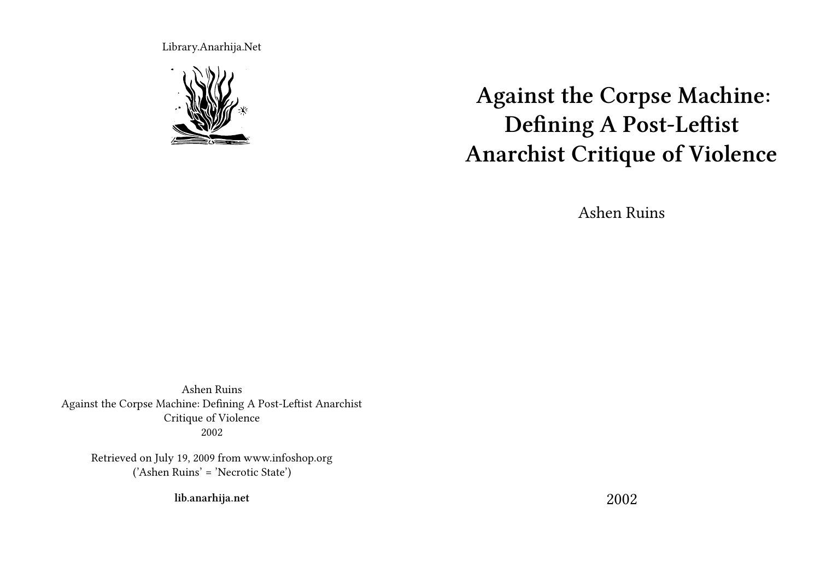Library.Anarhija.Net



**Against the Corpse Machine: Defining A Post-Leftist Anarchist Critique of Violence**

Ashen Ruins

Ashen Ruins Against the Corpse Machine: Defining A Post-Leftist Anarchist Critique of Violence 2002

Retrieved on July 19, 2009 from www.infoshop.org ('Ashen Ruins' = 'Necrotic State')

**lib.anarhija.net**

2002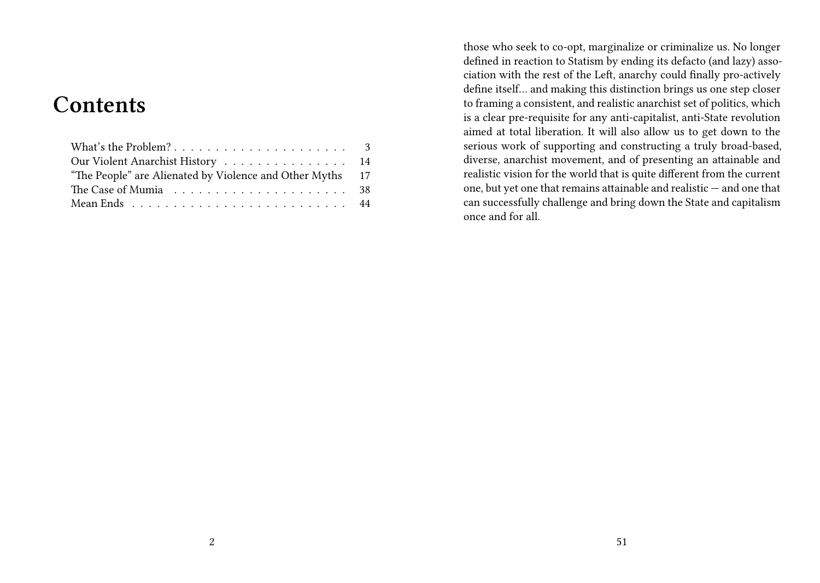# **Contents**

| Our Violent Anarchist History 14                          |  |
|-----------------------------------------------------------|--|
| "The People" are Alienated by Violence and Other Myths 17 |  |
|                                                           |  |
| Mean Ends 44                                              |  |
|                                                           |  |

those who seek to co-opt, marginalize or criminalize us. No longer defined in reaction to Statism by ending its defacto (and lazy) association with the rest of the Left, anarchy could finally pro-actively define itself… and making this distinction brings us one step closer to framing a consistent, and realistic anarchist set of politics, which is a clear pre-requisite for any anti-capitalist, anti-State revolution aimed at total liberation. It will also allow us to get down to the serious work of supporting and constructing a truly broad-based, diverse, anarchist movement, and of presenting an attainable and realistic vision for the world that is quite different from the current one, but yet one that remains attainable and realistic — and one that can successfully challenge and bring down the State and capitalism once and for all.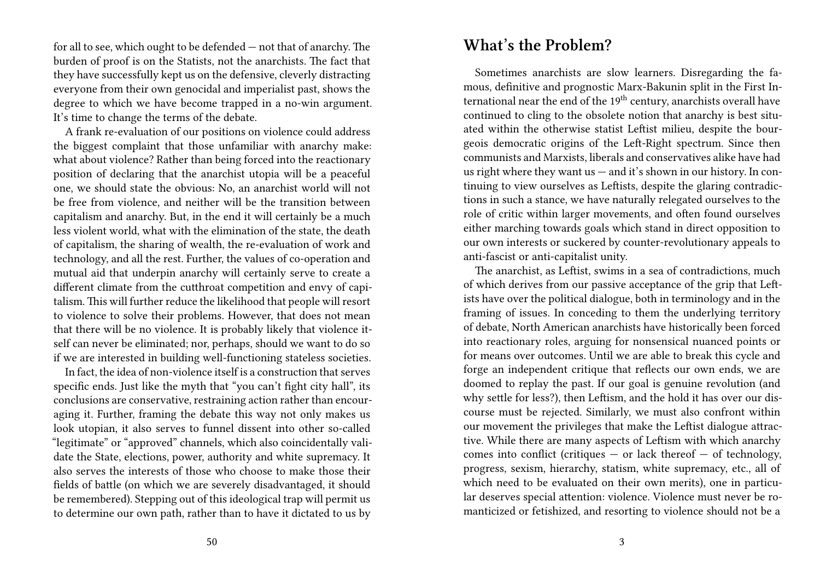for all to see, which ought to be defended — not that of anarchy. The burden of proof is on the Statists, not the anarchists. The fact that they have successfully kept us on the defensive, cleverly distracting everyone from their own genocidal and imperialist past, shows the degree to which we have become trapped in a no-win argument. It's time to change the terms of the debate.

A frank re-evaluation of our positions on violence could address the biggest complaint that those unfamiliar with anarchy make: what about violence? Rather than being forced into the reactionary position of declaring that the anarchist utopia will be a peaceful one, we should state the obvious: No, an anarchist world will not be free from violence, and neither will be the transition between capitalism and anarchy. But, in the end it will certainly be a much less violent world, what with the elimination of the state, the death of capitalism, the sharing of wealth, the re-evaluation of work and technology, and all the rest. Further, the values of co-operation and mutual aid that underpin anarchy will certainly serve to create a different climate from the cutthroat competition and envy of capitalism. This will further reduce the likelihood that people will resort to violence to solve their problems. However, that does not mean that there will be no violence. It is probably likely that violence itself can never be eliminated; nor, perhaps, should we want to do so if we are interested in building well-functioning stateless societies.

In fact, the idea of non-violence itself is a construction that serves specific ends. Just like the myth that "you can't fight city hall", its conclusions are conservative, restraining action rather than encouraging it. Further, framing the debate this way not only makes us look utopian, it also serves to funnel dissent into other so-called "legitimate" or "approved" channels, which also coincidentally validate the State, elections, power, authority and white supremacy. It also serves the interests of those who choose to make those their fields of battle (on which we are severely disadvantaged, it should be remembered). Stepping out of this ideological trap will permit us to determine our own path, rather than to have it dictated to us by

### **What's the Problem?**

Sometimes anarchists are slow learners. Disregarding the famous, definitive and prognostic Marx-Bakunin split in the First International near the end of the 19<sup>th</sup> century, anarchists overall have continued to cling to the obsolete notion that anarchy is best situated within the otherwise statist Leftist milieu, despite the bourgeois democratic origins of the Left-Right spectrum. Since then communists and Marxists, liberals and conservatives alike have had us right where they want us  $-$  and it's shown in our history. In continuing to view ourselves as Leftists, despite the glaring contradictions in such a stance, we have naturally relegated ourselves to the role of critic within larger movements, and often found ourselves either marching towards goals which stand in direct opposition to our own interests or suckered by counter-revolutionary appeals to anti-fascist or anti-capitalist unity.

The anarchist, as Leftist, swims in a sea of contradictions, much of which derives from our passive acceptance of the grip that Leftists have over the political dialogue, both in terminology and in the framing of issues. In conceding to them the underlying territory of debate, North American anarchists have historically been forced into reactionary roles, arguing for nonsensical nuanced points or for means over outcomes. Until we are able to break this cycle and forge an independent critique that reflects our own ends, we are doomed to replay the past. If our goal is genuine revolution (and why settle for less?), then Leftism, and the hold it has over our discourse must be rejected. Similarly, we must also confront within our movement the privileges that make the Leftist dialogue attractive. While there are many aspects of Leftism with which anarchy comes into conflict (critiques  $-$  or lack thereof  $-$  of technology, progress, sexism, hierarchy, statism, white supremacy, etc., all of which need to be evaluated on their own merits), one in particular deserves special attention: violence. Violence must never be romanticized or fetishized, and resorting to violence should not be a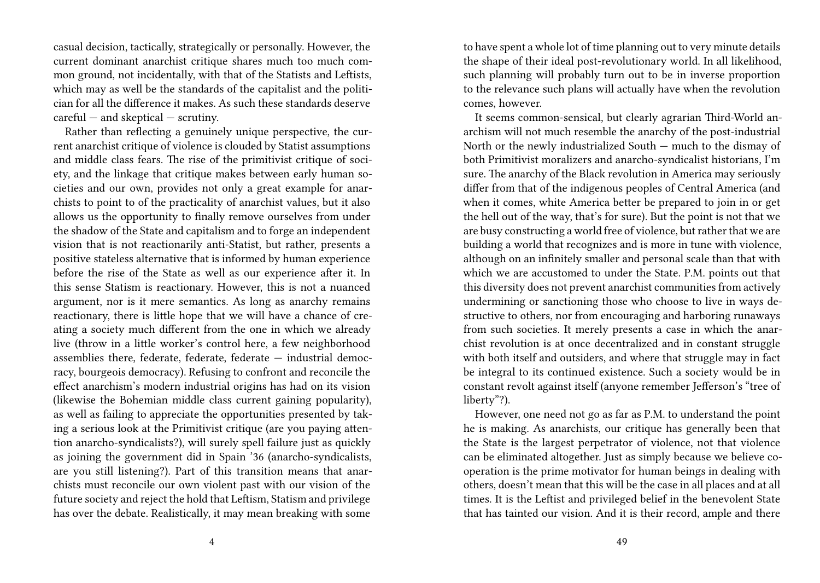casual decision, tactically, strategically or personally. However, the current dominant anarchist critique shares much too much common ground, not incidentally, with that of the Statists and Leftists, which may as well be the standards of the capitalist and the politician for all the difference it makes. As such these standards deserve careful — and skeptical — scrutiny.

Rather than reflecting a genuinely unique perspective, the current anarchist critique of violence is clouded by Statist assumptions and middle class fears. The rise of the primitivist critique of society, and the linkage that critique makes between early human societies and our own, provides not only a great example for anarchists to point to of the practicality of anarchist values, but it also allows us the opportunity to finally remove ourselves from under the shadow of the State and capitalism and to forge an independent vision that is not reactionarily anti-Statist, but rather, presents a positive stateless alternative that is informed by human experience before the rise of the State as well as our experience after it. In this sense Statism is reactionary. However, this is not a nuanced argument, nor is it mere semantics. As long as anarchy remains reactionary, there is little hope that we will have a chance of creating a society much different from the one in which we already live (throw in a little worker's control here, a few neighborhood assemblies there, federate, federate, federate  $-$  industrial democracy, bourgeois democracy). Refusing to confront and reconcile the effect anarchism's modern industrial origins has had on its vision (likewise the Bohemian middle class current gaining popularity), as well as failing to appreciate the opportunities presented by taking a serious look at the Primitivist critique (are you paying attention anarcho-syndicalists?), will surely spell failure just as quickly as joining the government did in Spain '36 (anarcho-syndicalists, are you still listening?). Part of this transition means that anarchists must reconcile our own violent past with our vision of the future society and reject the hold that Leftism, Statism and privilege has over the debate. Realistically, it may mean breaking with some

to have spent a whole lot of time planning out to very minute details the shape of their ideal post-revolutionary world. In all likelihood, such planning will probably turn out to be in inverse proportion to the relevance such plans will actually have when the revolution comes, however.

It seems common-sensical, but clearly agrarian Third-World anarchism will not much resemble the anarchy of the post-industrial North or the newly industrialized South — much to the dismay of both Primitivist moralizers and anarcho-syndicalist historians, I'm sure. The anarchy of the Black revolution in America may seriously differ from that of the indigenous peoples of Central America (and when it comes, white America better be prepared to join in or get the hell out of the way, that's for sure). But the point is not that we are busy constructing a world free of violence, but rather that we are building a world that recognizes and is more in tune with violence, although on an infinitely smaller and personal scale than that with which we are accustomed to under the State. P.M. points out that this diversity does not prevent anarchist communities from actively undermining or sanctioning those who choose to live in ways destructive to others, nor from encouraging and harboring runaways from such societies. It merely presents a case in which the anarchist revolution is at once decentralized and in constant struggle with both itself and outsiders, and where that struggle may in fact be integral to its continued existence. Such a society would be in constant revolt against itself (anyone remember Jefferson's "tree of liberty"?).

However, one need not go as far as P.M. to understand the point he is making. As anarchists, our critique has generally been that the State is the largest perpetrator of violence, not that violence can be eliminated altogether. Just as simply because we believe cooperation is the prime motivator for human beings in dealing with others, doesn't mean that this will be the case in all places and at all times. It is the Leftist and privileged belief in the benevolent State that has tainted our vision. And it is their record, ample and there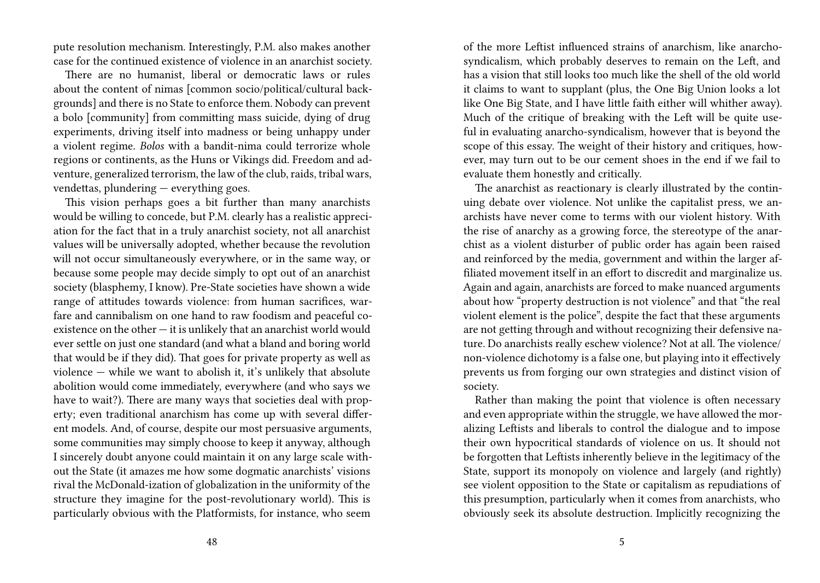pute resolution mechanism. Interestingly, P.M. also makes another case for the continued existence of violence in an anarchist society.

There are no humanist, liberal or democratic laws or rules about the content of nimas [common socio/political/cultural backgrounds] and there is no State to enforce them. Nobody can prevent a bolo [community] from committing mass suicide, dying of drug experiments, driving itself into madness or being unhappy under a violent regime. *Bolos* with a bandit-nima could terrorize whole regions or continents, as the Huns or Vikings did. Freedom and adventure, generalized terrorism, the law of the club, raids, tribal wars, vendettas, plundering — everything goes.

This vision perhaps goes a bit further than many anarchists would be willing to concede, but P.M. clearly has a realistic appreciation for the fact that in a truly anarchist society, not all anarchist values will be universally adopted, whether because the revolution will not occur simultaneously everywhere, or in the same way, or because some people may decide simply to opt out of an anarchist society (blasphemy, I know). Pre-State societies have shown a wide range of attitudes towards violence: from human sacrifices, warfare and cannibalism on one hand to raw foodism and peaceful coexistence on the other — it is unlikely that an anarchist world would ever settle on just one standard (and what a bland and boring world that would be if they did). That goes for private property as well as violence — while we want to abolish it, it's unlikely that absolute abolition would come immediately, everywhere (and who says we have to wait?). There are many ways that societies deal with property; even traditional anarchism has come up with several different models. And, of course, despite our most persuasive arguments, some communities may simply choose to keep it anyway, although I sincerely doubt anyone could maintain it on any large scale without the State (it amazes me how some dogmatic anarchists' visions rival the McDonald-ization of globalization in the uniformity of the structure they imagine for the post-revolutionary world). This is particularly obvious with the Platformists, for instance, who seem

of the more Leftist influenced strains of anarchism, like anarchosyndicalism, which probably deserves to remain on the Left, and has a vision that still looks too much like the shell of the old world it claims to want to supplant (plus, the One Big Union looks a lot like One Big State, and I have little faith either will whither away). Much of the critique of breaking with the Left will be quite useful in evaluating anarcho-syndicalism, however that is beyond the scope of this essay. The weight of their history and critiques, however, may turn out to be our cement shoes in the end if we fail to evaluate them honestly and critically.

The anarchist as reactionary is clearly illustrated by the continuing debate over violence. Not unlike the capitalist press, we anarchists have never come to terms with our violent history. With the rise of anarchy as a growing force, the stereotype of the anarchist as a violent disturber of public order has again been raised and reinforced by the media, government and within the larger affiliated movement itself in an effort to discredit and marginalize us. Again and again, anarchists are forced to make nuanced arguments about how "property destruction is not violence" and that "the real violent element is the police", despite the fact that these arguments are not getting through and without recognizing their defensive nature. Do anarchists really eschew violence? Not at all. The violence/ non-violence dichotomy is a false one, but playing into it effectively prevents us from forging our own strategies and distinct vision of society.

Rather than making the point that violence is often necessary and even appropriate within the struggle, we have allowed the moralizing Leftists and liberals to control the dialogue and to impose their own hypocritical standards of violence on us. It should not be forgotten that Leftists inherently believe in the legitimacy of the State, support its monopoly on violence and largely (and rightly) see violent opposition to the State or capitalism as repudiations of this presumption, particularly when it comes from anarchists, who obviously seek its absolute destruction. Implicitly recognizing the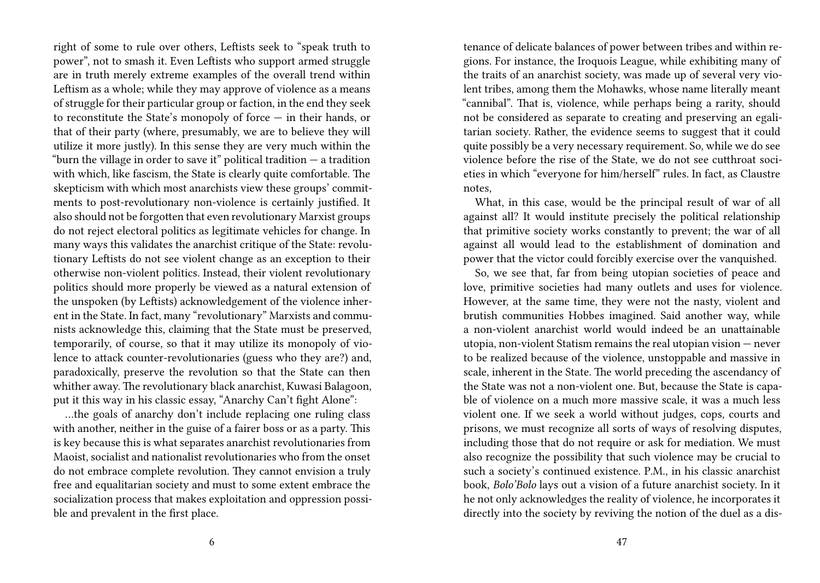right of some to rule over others, Leftists seek to "speak truth to power", not to smash it. Even Leftists who support armed struggle are in truth merely extreme examples of the overall trend within Leftism as a whole; while they may approve of violence as a means of struggle for their particular group or faction, in the end they seek to reconstitute the State's monopoly of force — in their hands, or that of their party (where, presumably, we are to believe they will utilize it more justly). In this sense they are very much within the "burn the village in order to save it" political tradition  $-$  a tradition with which, like fascism, the State is clearly quite comfortable. The skepticism with which most anarchists view these groups' commitments to post-revolutionary non-violence is certainly justified. It also should not be forgotten that even revolutionary Marxist groups do not reject electoral politics as legitimate vehicles for change. In many ways this validates the anarchist critique of the State: revolutionary Leftists do not see violent change as an exception to their otherwise non-violent politics. Instead, their violent revolutionary politics should more properly be viewed as a natural extension of the unspoken (by Leftists) acknowledgement of the violence inherent in the State. In fact, many "revolutionary" Marxists and communists acknowledge this, claiming that the State must be preserved, temporarily, of course, so that it may utilize its monopoly of violence to attack counter-revolutionaries (guess who they are?) and, paradoxically, preserve the revolution so that the State can then whither away. The revolutionary black anarchist, Kuwasi Balagoon, put it this way in his classic essay, "Anarchy Can't fight Alone":

…the goals of anarchy don't include replacing one ruling class with another, neither in the guise of a fairer boss or as a party. This is key because this is what separates anarchist revolutionaries from Maoist, socialist and nationalist revolutionaries who from the onset do not embrace complete revolution. They cannot envision a truly free and equalitarian society and must to some extent embrace the socialization process that makes exploitation and oppression possible and prevalent in the first place.

tenance of delicate balances of power between tribes and within regions. For instance, the Iroquois League, while exhibiting many of the traits of an anarchist society, was made up of several very violent tribes, among them the Mohawks, whose name literally meant "cannibal". That is, violence, while perhaps being a rarity, should not be considered as separate to creating and preserving an egalitarian society. Rather, the evidence seems to suggest that it could quite possibly be a very necessary requirement. So, while we do see violence before the rise of the State, we do not see cutthroat societies in which "everyone for him/herself" rules. In fact, as Claustre notes,

What, in this case, would be the principal result of war of all against all? It would institute precisely the political relationship that primitive society works constantly to prevent; the war of all against all would lead to the establishment of domination and power that the victor could forcibly exercise over the vanquished.

So, we see that, far from being utopian societies of peace and love, primitive societies had many outlets and uses for violence. However, at the same time, they were not the nasty, violent and brutish communities Hobbes imagined. Said another way, while a non-violent anarchist world would indeed be an unattainable utopia, non-violent Statism remains the real utopian vision — never to be realized because of the violence, unstoppable and massive in scale, inherent in the State. The world preceding the ascendancy of the State was not a non-violent one. But, because the State is capable of violence on a much more massive scale, it was a much less violent one. If we seek a world without judges, cops, courts and prisons, we must recognize all sorts of ways of resolving disputes, including those that do not require or ask for mediation. We must also recognize the possibility that such violence may be crucial to such a society's continued existence. P.M., in his classic anarchist book, *Bolo'Bolo* lays out a vision of a future anarchist society. In it he not only acknowledges the reality of violence, he incorporates it directly into the society by reviving the notion of the duel as a dis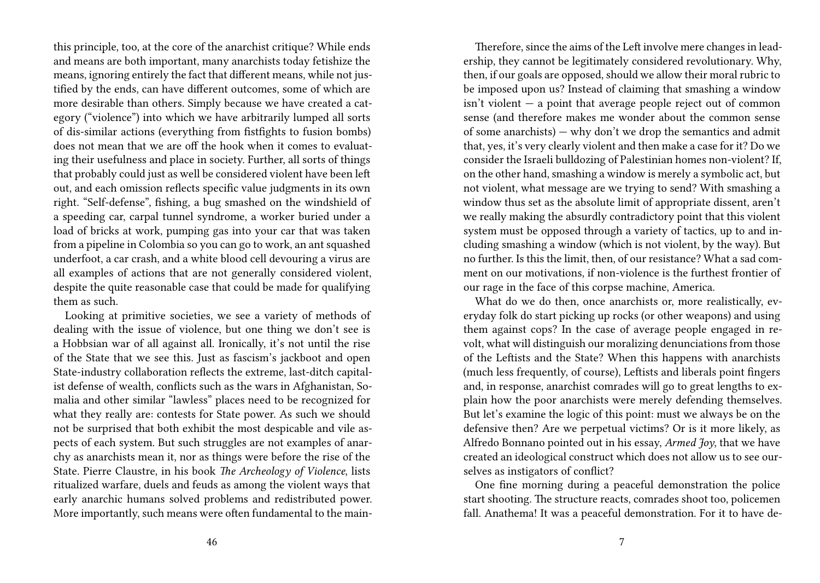this principle, too, at the core of the anarchist critique? While ends and means are both important, many anarchists today fetishize the means, ignoring entirely the fact that different means, while not justified by the ends, can have different outcomes, some of which are more desirable than others. Simply because we have created a category ("violence") into which we have arbitrarily lumped all sorts of dis-similar actions (everything from fistfights to fusion bombs) does not mean that we are off the hook when it comes to evaluating their usefulness and place in society. Further, all sorts of things that probably could just as well be considered violent have been left out, and each omission reflects specific value judgments in its own right. "Self-defense", fishing, a bug smashed on the windshield of a speeding car, carpal tunnel syndrome, a worker buried under a load of bricks at work, pumping gas into your car that was taken from a pipeline in Colombia so you can go to work, an ant squashed underfoot, a car crash, and a white blood cell devouring a virus are all examples of actions that are not generally considered violent, despite the quite reasonable case that could be made for qualifying them as such.

Looking at primitive societies, we see a variety of methods of dealing with the issue of violence, but one thing we don't see is a Hobbsian war of all against all. Ironically, it's not until the rise of the State that we see this. Just as fascism's jackboot and open State-industry collaboration reflects the extreme, last-ditch capitalist defense of wealth, conflicts such as the wars in Afghanistan, Somalia and other similar "lawless" places need to be recognized for what they really are: contests for State power. As such we should not be surprised that both exhibit the most despicable and vile aspects of each system. But such struggles are not examples of anarchy as anarchists mean it, nor as things were before the rise of the State. Pierre Claustre, in his book *The Archeology of Violence*, lists ritualized warfare, duels and feuds as among the violent ways that early anarchic humans solved problems and redistributed power. More importantly, such means were often fundamental to the main-

Therefore, since the aims of the Left involve mere changes in leadership, they cannot be legitimately considered revolutionary. Why, then, if our goals are opposed, should we allow their moral rubric to be imposed upon us? Instead of claiming that smashing a window isn't violent — a point that average people reject out of common sense (and therefore makes me wonder about the common sense of some anarchists) — why don't we drop the semantics and admit that, yes, it's very clearly violent and then make a case for it? Do we consider the Israeli bulldozing of Palestinian homes non-violent? If, on the other hand, smashing a window is merely a symbolic act, but not violent, what message are we trying to send? With smashing a window thus set as the absolute limit of appropriate dissent, aren't we really making the absurdly contradictory point that this violent system must be opposed through a variety of tactics, up to and including smashing a window (which is not violent, by the way). But no further. Is this the limit, then, of our resistance? What a sad comment on our motivations, if non-violence is the furthest frontier of our rage in the face of this corpse machine, America.

What do we do then, once anarchists or, more realistically, everyday folk do start picking up rocks (or other weapons) and using them against cops? In the case of average people engaged in revolt, what will distinguish our moralizing denunciations from those of the Leftists and the State? When this happens with anarchists (much less frequently, of course), Leftists and liberals point fingers and, in response, anarchist comrades will go to great lengths to explain how the poor anarchists were merely defending themselves. But let's examine the logic of this point: must we always be on the defensive then? Are we perpetual victims? Or is it more likely, as Alfredo Bonnano pointed out in his essay, *Armed Joy*, that we have created an ideological construct which does not allow us to see ourselves as instigators of conflict?

One fine morning during a peaceful demonstration the police start shooting. The structure reacts, comrades shoot too, policemen fall. Anathema! It was a peaceful demonstration. For it to have de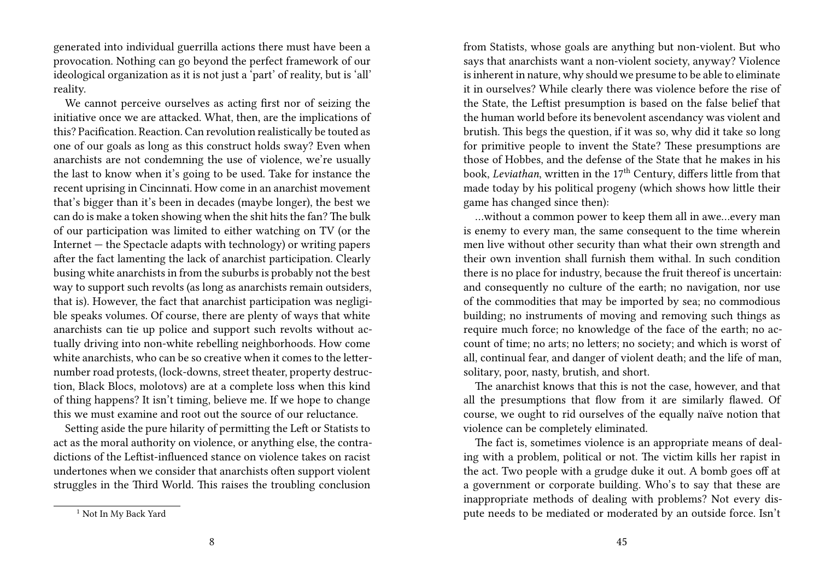generated into individual guerrilla actions there must have been a provocation. Nothing can go beyond the perfect framework of our ideological organization as it is not just a 'part' of reality, but is 'all' reality.

We cannot perceive ourselves as acting first nor of seizing the initiative once we are attacked. What, then, are the implications of this? Pacification. Reaction. Can revolution realistically be touted as one of our goals as long as this construct holds sway? Even when anarchists are not condemning the use of violence, we're usually the last to know when it's going to be used. Take for instance the recent uprising in Cincinnati. How come in an anarchist movement that's bigger than it's been in decades (maybe longer), the best we can do is make a token showing when the shit hits the fan? The bulk of our participation was limited to either watching on TV (or the Internet — the Spectacle adapts with technology) or writing papers after the fact lamenting the lack of anarchist participation. Clearly busing white anarchists in from the suburbs is probably not the best way to support such revolts (as long as anarchists remain outsiders, that is). However, the fact that anarchist participation was negligible speaks volumes. Of course, there are plenty of ways that white anarchists can tie up police and support such revolts without actually driving into non-white rebelling neighborhoods. How come white anarchists, who can be so creative when it comes to the letternumber road protests, (lock-downs, street theater, property destruction, Black Blocs, molotovs) are at a complete loss when this kind of thing happens? It isn't timing, believe me. If we hope to change this we must examine and root out the source of our reluctance.

Setting aside the pure hilarity of permitting the Left or Statists to act as the moral authority on violence, or anything else, the contradictions of the Leftist-influenced stance on violence takes on racist undertones when we consider that anarchists often support violent struggles in the Third World. This raises the troubling conclusion

from Statists, whose goals are anything but non-violent. But who says that anarchists want a non-violent society, anyway? Violence is inherent in nature, why should we presume to be able to eliminate it in ourselves? While clearly there was violence before the rise of the State, the Leftist presumption is based on the false belief that the human world before its benevolent ascendancy was violent and brutish. This begs the question, if it was so, why did it take so long for primitive people to invent the State? These presumptions are those of Hobbes, and the defense of the State that he makes in his book, *Leviathan*, written in the 17<sup>th</sup> Century, differs little from that made today by his political progeny (which shows how little their game has changed since then):

…without a common power to keep them all in awe…every man is enemy to every man, the same consequent to the time wherein men live without other security than what their own strength and their own invention shall furnish them withal. In such condition there is no place for industry, because the fruit thereof is uncertain: and consequently no culture of the earth; no navigation, nor use of the commodities that may be imported by sea; no commodious building; no instruments of moving and removing such things as require much force; no knowledge of the face of the earth; no account of time; no arts; no letters; no society; and which is worst of all, continual fear, and danger of violent death; and the life of man, solitary, poor, nasty, brutish, and short.

The anarchist knows that this is not the case, however, and that all the presumptions that flow from it are similarly flawed. Of course, we ought to rid ourselves of the equally naïve notion that violence can be completely eliminated.

The fact is, sometimes violence is an appropriate means of dealing with a problem, political or not. The victim kills her rapist in the act. Two people with a grudge duke it out. A bomb goes off at a government or corporate building. Who's to say that these are inappropriate methods of dealing with problems? Not every dispute needs to be mediated or moderated by an outside force. Isn't

<sup>&</sup>lt;sup>1</sup> Not In My Back Yard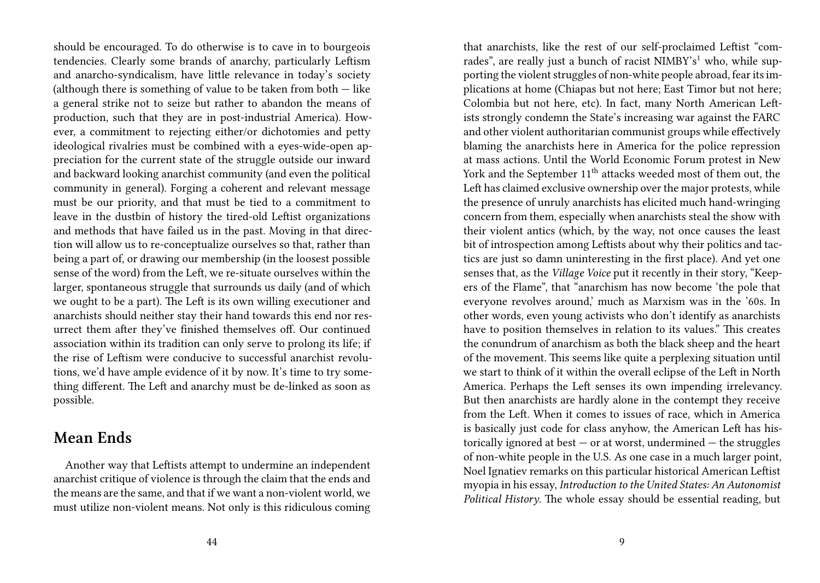should be encouraged. To do otherwise is to cave in to bourgeois tendencies. Clearly some brands of anarchy, particularly Leftism and anarcho-syndicalism, have little relevance in today's society (although there is something of value to be taken from both  $-$  like a general strike not to seize but rather to abandon the means of production, such that they are in post-industrial America). However, a commitment to rejecting either/or dichotomies and petty ideological rivalries must be combined with a eyes-wide-open appreciation for the current state of the struggle outside our inward and backward looking anarchist community (and even the political community in general). Forging a coherent and relevant message must be our priority, and that must be tied to a commitment to leave in the dustbin of history the tired-old Leftist organizations and methods that have failed us in the past. Moving in that direction will allow us to re-conceptualize ourselves so that, rather than being a part of, or drawing our membership (in the loosest possible sense of the word) from the Left, we re-situate ourselves within the larger, spontaneous struggle that surrounds us daily (and of which we ought to be a part). The Left is its own willing executioner and anarchists should neither stay their hand towards this end nor resurrect them after they've finished themselves off. Our continued association within its tradition can only serve to prolong its life; if the rise of Leftism were conducive to successful anarchist revolutions, we'd have ample evidence of it by now. It's time to try something different. The Left and anarchy must be de-linked as soon as possible.

#### **Mean Ends**

Another way that Leftists attempt to undermine an independent anarchist critique of violence is through the claim that the ends and the means are the same, and that if we want a non-violent world, we must utilize non-violent means. Not only is this ridiculous coming

that anarchists, like the rest of our self-proclaimed Leftist "comrades", are really just a bunch of racist NIMBY's<sup>1</sup> who, while supporting the violent struggles of non-white people abroad, fear its implications at home (Chiapas but not here; East Timor but not here; Colombia but not here, etc). In fact, many North American Leftists strongly condemn the State's increasing war against the FARC and other violent authoritarian communist groups while effectively blaming the anarchists here in America for the police repression at mass actions. Until the World Economic Forum protest in New York and the September 11<sup>th</sup> attacks weeded most of them out, the Left has claimed exclusive ownership over the major protests, while the presence of unruly anarchists has elicited much hand-wringing concern from them, especially when anarchists steal the show with their violent antics (which, by the way, not once causes the least bit of introspection among Leftists about why their politics and tactics are just so damn uninteresting in the first place). And yet one senses that, as the *Village Voice* put it recently in their story, "Keepers of the Flame", that "anarchism has now become 'the pole that everyone revolves around,' much as Marxism was in the '60s. In other words, even young activists who don't identify as anarchists have to position themselves in relation to its values." This creates the conundrum of anarchism as both the black sheep and the heart of the movement. This seems like quite a perplexing situation until we start to think of it within the overall eclipse of the Left in North America. Perhaps the Left senses its own impending irrelevancy. But then anarchists are hardly alone in the contempt they receive from the Left. When it comes to issues of race, which in America is basically just code for class anyhow, the American Left has historically ignored at best  $-$  or at worst, undermined  $-$  the struggles of non-white people in the U.S. As one case in a much larger point, Noel Ignatiev remarks on this particular historical American Leftist myopia in his essay, *Introduction to the United States: An Autonomist Political History*. The whole essay should be essential reading, but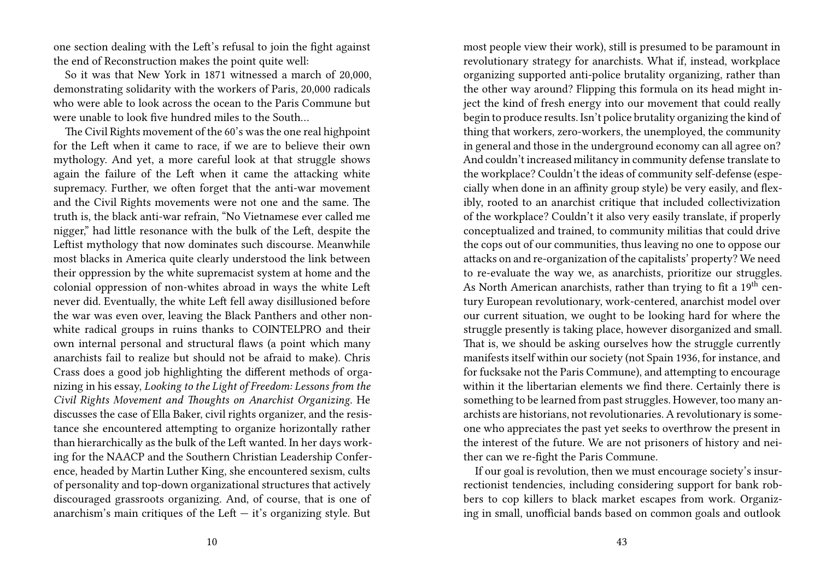one section dealing with the Left's refusal to join the fight against the end of Reconstruction makes the point quite well:

So it was that New York in 1871 witnessed a march of 20,000, demonstrating solidarity with the workers of Paris, 20,000 radicals who were able to look across the ocean to the Paris Commune but were unable to look five hundred miles to the South…

The Civil Rights movement of the 60's was the one real highpoint for the Left when it came to race, if we are to believe their own mythology. And yet, a more careful look at that struggle shows again the failure of the Left when it came the attacking white supremacy. Further, we often forget that the anti-war movement and the Civil Rights movements were not one and the same. The truth is, the black anti-war refrain, "No Vietnamese ever called me nigger," had little resonance with the bulk of the Left, despite the Leftist mythology that now dominates such discourse. Meanwhile most blacks in America quite clearly understood the link between their oppression by the white supremacist system at home and the colonial oppression of non-whites abroad in ways the white Left never did. Eventually, the white Left fell away disillusioned before the war was even over, leaving the Black Panthers and other nonwhite radical groups in ruins thanks to COINTELPRO and their own internal personal and structural flaws (a point which many anarchists fail to realize but should not be afraid to make). Chris Crass does a good job highlighting the different methods of organizing in his essay, *Looking to the Light of Freedom: Lessons from the Civil Rights Movement and Thoughts on Anarchist Organizing*. He discusses the case of Ella Baker, civil rights organizer, and the resistance she encountered attempting to organize horizontally rather than hierarchically as the bulk of the Left wanted. In her days working for the NAACP and the Southern Christian Leadership Conference, headed by Martin Luther King, she encountered sexism, cults of personality and top-down organizational structures that actively discouraged grassroots organizing. And, of course, that is one of anarchism's main critiques of the Left  $-$  it's organizing style. But

most people view their work), still is presumed to be paramount in revolutionary strategy for anarchists. What if, instead, workplace organizing supported anti-police brutality organizing, rather than the other way around? Flipping this formula on its head might inject the kind of fresh energy into our movement that could really begin to produce results. Isn't police brutality organizing the kind of thing that workers, zero-workers, the unemployed, the community in general and those in the underground economy can all agree on? And couldn't increased militancy in community defense translate to the workplace? Couldn't the ideas of community self-defense (especially when done in an affinity group style) be very easily, and flexibly, rooted to an anarchist critique that included collectivization of the workplace? Couldn't it also very easily translate, if properly conceptualized and trained, to community militias that could drive the cops out of our communities, thus leaving no one to oppose our attacks on and re-organization of the capitalists' property? We need to re-evaluate the way we, as anarchists, prioritize our struggles. As North American anarchists, rather than trying to fit a  $19<sup>th</sup>$  century European revolutionary, work-centered, anarchist model over our current situation, we ought to be looking hard for where the struggle presently is taking place, however disorganized and small. That is, we should be asking ourselves how the struggle currently manifests itself within our society (not Spain 1936, for instance, and for fucksake not the Paris Commune), and attempting to encourage within it the libertarian elements we find there. Certainly there is something to be learned from past struggles. However, too many anarchists are historians, not revolutionaries. A revolutionary is someone who appreciates the past yet seeks to overthrow the present in the interest of the future. We are not prisoners of history and neither can we re-fight the Paris Commune.

If our goal is revolution, then we must encourage society's insurrectionist tendencies, including considering support for bank robbers to cop killers to black market escapes from work. Organizing in small, unofficial bands based on common goals and outlook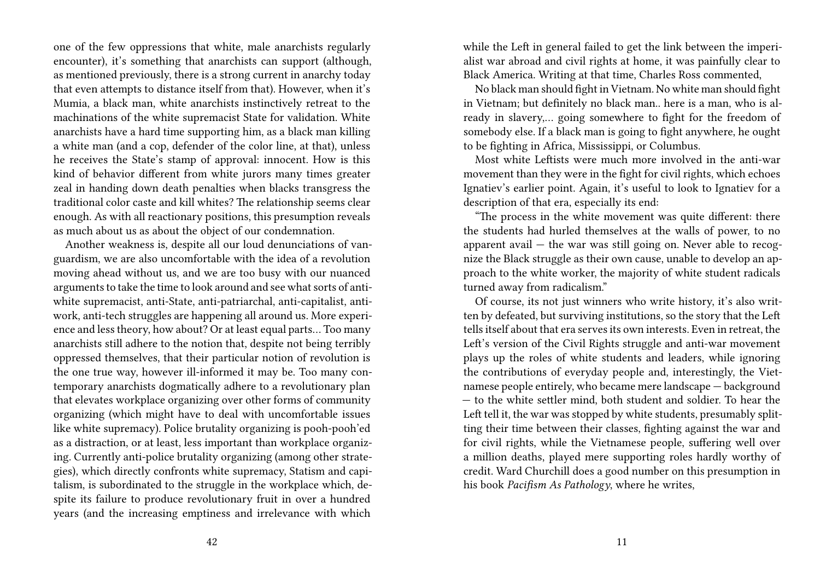one of the few oppressions that white, male anarchists regularly encounter), it's something that anarchists can support (although, as mentioned previously, there is a strong current in anarchy today that even attempts to distance itself from that). However, when it's Mumia, a black man, white anarchists instinctively retreat to the machinations of the white supremacist State for validation. White anarchists have a hard time supporting him, as a black man killing a white man (and a cop, defender of the color line, at that), unless he receives the State's stamp of approval: innocent. How is this kind of behavior different from white jurors many times greater zeal in handing down death penalties when blacks transgress the traditional color caste and kill whites? The relationship seems clear enough. As with all reactionary positions, this presumption reveals as much about us as about the object of our condemnation.

Another weakness is, despite all our loud denunciations of vanguardism, we are also uncomfortable with the idea of a revolution moving ahead without us, and we are too busy with our nuanced arguments to take the time to look around and see what sorts of antiwhite supremacist, anti-State, anti-patriarchal, anti-capitalist, antiwork, anti-tech struggles are happening all around us. More experience and less theory, how about? Or at least equal parts… Too many anarchists still adhere to the notion that, despite not being terribly oppressed themselves, that their particular notion of revolution is the one true way, however ill-informed it may be. Too many contemporary anarchists dogmatically adhere to a revolutionary plan that elevates workplace organizing over other forms of community organizing (which might have to deal with uncomfortable issues like white supremacy). Police brutality organizing is pooh-pooh'ed as a distraction, or at least, less important than workplace organizing. Currently anti-police brutality organizing (among other strategies), which directly confronts white supremacy, Statism and capitalism, is subordinated to the struggle in the workplace which, despite its failure to produce revolutionary fruit in over a hundred years (and the increasing emptiness and irrelevance with which

while the Left in general failed to get the link between the imperialist war abroad and civil rights at home, it was painfully clear to Black America. Writing at that time, Charles Ross commented,

No black man should fight in Vietnam. No white man should fight in Vietnam; but definitely no black man.. here is a man, who is already in slavery,… going somewhere to fight for the freedom of somebody else. If a black man is going to fight anywhere, he ought to be fighting in Africa, Mississippi, or Columbus.

Most white Leftists were much more involved in the anti-war movement than they were in the fight for civil rights, which echoes Ignatiev's earlier point. Again, it's useful to look to Ignatiev for a description of that era, especially its end:

"The process in the white movement was quite different: there the students had hurled themselves at the walls of power, to no apparent avail  $-$  the war was still going on. Never able to recognize the Black struggle as their own cause, unable to develop an approach to the white worker, the majority of white student radicals turned away from radicalism."

Of course, its not just winners who write history, it's also written by defeated, but surviving institutions, so the story that the Left tells itself about that era serves its own interests. Even in retreat, the Left's version of the Civil Rights struggle and anti-war movement plays up the roles of white students and leaders, while ignoring the contributions of everyday people and, interestingly, the Vietnamese people entirely, who became mere landscape — background — to the white settler mind, both student and soldier. To hear the Left tell it, the war was stopped by white students, presumably splitting their time between their classes, fighting against the war and for civil rights, while the Vietnamese people, suffering well over a million deaths, played mere supporting roles hardly worthy of credit. Ward Churchill does a good number on this presumption in his book *Pacifism As Pathology*, where he writes,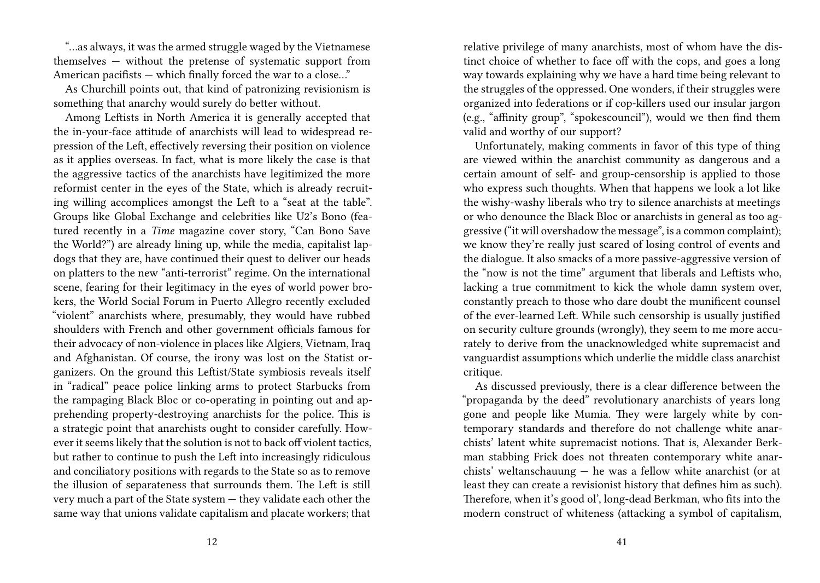"…as always, it was the armed struggle waged by the Vietnamese themselves — without the pretense of systematic support from American pacifists — which finally forced the war to a close…"

As Churchill points out, that kind of patronizing revisionism is something that anarchy would surely do better without.

Among Leftists in North America it is generally accepted that the in-your-face attitude of anarchists will lead to widespread repression of the Left, effectively reversing their position on violence as it applies overseas. In fact, what is more likely the case is that the aggressive tactics of the anarchists have legitimized the more reformist center in the eyes of the State, which is already recruiting willing accomplices amongst the Left to a "seat at the table". Groups like Global Exchange and celebrities like U2's Bono (featured recently in a *Time* magazine cover story, "Can Bono Save the World?") are already lining up, while the media, capitalist lapdogs that they are, have continued their quest to deliver our heads on platters to the new "anti-terrorist" regime. On the international scene, fearing for their legitimacy in the eyes of world power brokers, the World Social Forum in Puerto Allegro recently excluded "violent" anarchists where, presumably, they would have rubbed shoulders with French and other government officials famous for their advocacy of non-violence in places like Algiers, Vietnam, Iraq and Afghanistan. Of course, the irony was lost on the Statist organizers. On the ground this Leftist/State symbiosis reveals itself in "radical" peace police linking arms to protect Starbucks from the rampaging Black Bloc or co-operating in pointing out and apprehending property-destroying anarchists for the police. This is a strategic point that anarchists ought to consider carefully. However it seems likely that the solution is not to back off violent tactics, but rather to continue to push the Left into increasingly ridiculous and conciliatory positions with regards to the State so as to remove the illusion of separateness that surrounds them. The Left is still very much a part of the State system — they validate each other the same way that unions validate capitalism and placate workers; that

relative privilege of many anarchists, most of whom have the distinct choice of whether to face off with the cops, and goes a long way towards explaining why we have a hard time being relevant to the struggles of the oppressed. One wonders, if their struggles were organized into federations or if cop-killers used our insular jargon (e.g., "affinity group", "spokescouncil"), would we then find them valid and worthy of our support?

Unfortunately, making comments in favor of this type of thing are viewed within the anarchist community as dangerous and a certain amount of self- and group-censorship is applied to those who express such thoughts. When that happens we look a lot like the wishy-washy liberals who try to silence anarchists at meetings or who denounce the Black Bloc or anarchists in general as too aggressive ("it will overshadow the message", is a common complaint); we know they're really just scared of losing control of events and the dialogue. It also smacks of a more passive-aggressive version of the "now is not the time" argument that liberals and Leftists who, lacking a true commitment to kick the whole damn system over, constantly preach to those who dare doubt the munificent counsel of the ever-learned Left. While such censorship is usually justified on security culture grounds (wrongly), they seem to me more accurately to derive from the unacknowledged white supremacist and vanguardist assumptions which underlie the middle class anarchist critique.

As discussed previously, there is a clear difference between the "propaganda by the deed" revolutionary anarchists of years long gone and people like Mumia. They were largely white by contemporary standards and therefore do not challenge white anarchists' latent white supremacist notions. That is, Alexander Berkman stabbing Frick does not threaten contemporary white anarchists' weltanschauung — he was a fellow white anarchist (or at least they can create a revisionist history that defines him as such). Therefore, when it's good ol', long-dead Berkman, who fits into the modern construct of whiteness (attacking a symbol of capitalism,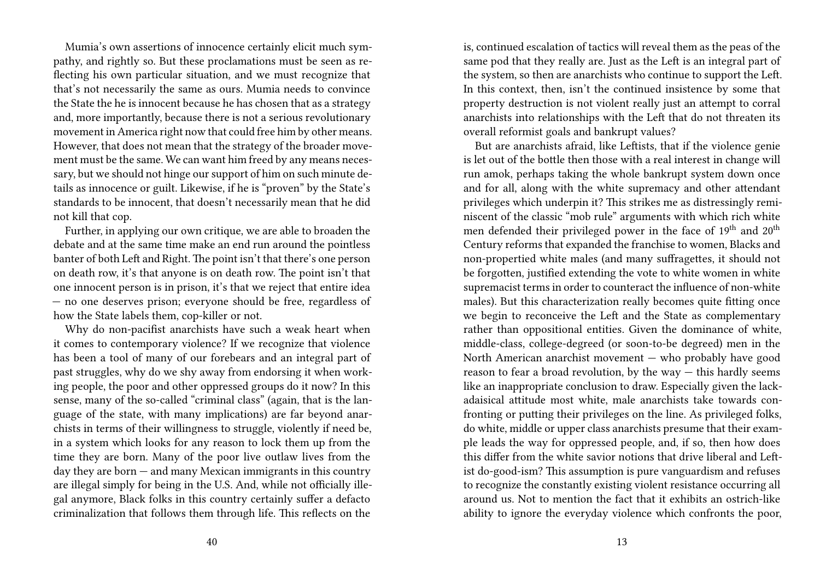Mumia's own assertions of innocence certainly elicit much sympathy, and rightly so. But these proclamations must be seen as reflecting his own particular situation, and we must recognize that that's not necessarily the same as ours. Mumia needs to convince the State the he is innocent because he has chosen that as a strategy and, more importantly, because there is not a serious revolutionary movement in America right now that could free him by other means. However, that does not mean that the strategy of the broader movement must be the same. We can want him freed by any means necessary, but we should not hinge our support of him on such minute details as innocence or guilt. Likewise, if he is "proven" by the State's standards to be innocent, that doesn't necessarily mean that he did not kill that cop.

Further, in applying our own critique, we are able to broaden the debate and at the same time make an end run around the pointless banter of both Left and Right. The point isn't that there's one person on death row, it's that anyone is on death row. The point isn't that one innocent person is in prison, it's that we reject that entire idea — no one deserves prison; everyone should be free, regardless of how the State labels them, cop-killer or not.

Why do non-pacifist anarchists have such a weak heart when it comes to contemporary violence? If we recognize that violence has been a tool of many of our forebears and an integral part of past struggles, why do we shy away from endorsing it when working people, the poor and other oppressed groups do it now? In this sense, many of the so-called "criminal class" (again, that is the language of the state, with many implications) are far beyond anarchists in terms of their willingness to struggle, violently if need be, in a system which looks for any reason to lock them up from the time they are born. Many of the poor live outlaw lives from the day they are born — and many Mexican immigrants in this country are illegal simply for being in the U.S. And, while not officially illegal anymore, Black folks in this country certainly suffer a defacto criminalization that follows them through life. This reflects on the

is, continued escalation of tactics will reveal them as the peas of the same pod that they really are. Just as the Left is an integral part of the system, so then are anarchists who continue to support the Left. In this context, then, isn't the continued insistence by some that property destruction is not violent really just an attempt to corral anarchists into relationships with the Left that do not threaten its overall reformist goals and bankrupt values?

But are anarchists afraid, like Leftists, that if the violence genie is let out of the bottle then those with a real interest in change will run amok, perhaps taking the whole bankrupt system down once and for all, along with the white supremacy and other attendant privileges which underpin it? This strikes me as distressingly reminiscent of the classic "mob rule" arguments with which rich white men defended their privileged power in the face of  $19<sup>th</sup>$  and  $20<sup>th</sup>$ Century reforms that expanded the franchise to women, Blacks and non-propertied white males (and many suffragettes, it should not be forgotten, justified extending the vote to white women in white supremacist terms in order to counteract the influence of non-white males). But this characterization really becomes quite fitting once we begin to reconceive the Left and the State as complementary rather than oppositional entities. Given the dominance of white, middle-class, college-degreed (or soon-to-be degreed) men in the North American anarchist movement — who probably have good reason to fear a broad revolution, by the way  $-$  this hardly seems like an inappropriate conclusion to draw. Especially given the lackadaisical attitude most white, male anarchists take towards confronting or putting their privileges on the line. As privileged folks, do white, middle or upper class anarchists presume that their example leads the way for oppressed people, and, if so, then how does this differ from the white savior notions that drive liberal and Leftist do-good-ism? This assumption is pure vanguardism and refuses to recognize the constantly existing violent resistance occurring all around us. Not to mention the fact that it exhibits an ostrich-like ability to ignore the everyday violence which confronts the poor,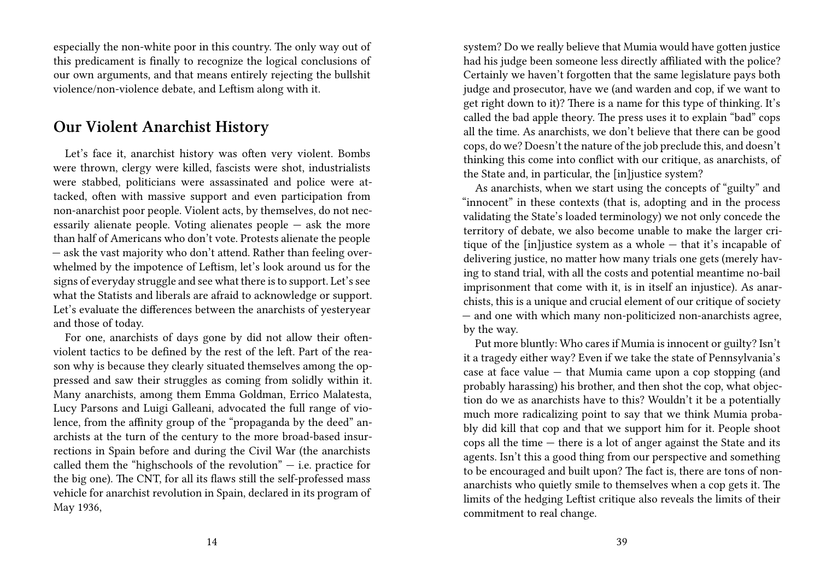especially the non-white poor in this country. The only way out of this predicament is finally to recognize the logical conclusions of our own arguments, and that means entirely rejecting the bullshit violence/non-violence debate, and Leftism along with it.

#### **Our Violent Anarchist History**

Let's face it, anarchist history was often very violent. Bombs were thrown, clergy were killed, fascists were shot, industrialists were stabbed, politicians were assassinated and police were attacked, often with massive support and even participation from non-anarchist poor people. Violent acts, by themselves, do not necessarily alienate people. Voting alienates people — ask the more than half of Americans who don't vote. Protests alienate the people — ask the vast majority who don't attend. Rather than feeling overwhelmed by the impotence of Leftism, let's look around us for the signs of everyday struggle and see what there is to support. Let's see what the Statists and liberals are afraid to acknowledge or support. Let's evaluate the differences between the anarchists of yesteryear and those of today.

For one, anarchists of days gone by did not allow their oftenviolent tactics to be defined by the rest of the left. Part of the reason why is because they clearly situated themselves among the oppressed and saw their struggles as coming from solidly within it. Many anarchists, among them Emma Goldman, Errico Malatesta, Lucy Parsons and Luigi Galleani, advocated the full range of violence, from the affinity group of the "propaganda by the deed" anarchists at the turn of the century to the more broad-based insurrections in Spain before and during the Civil War (the anarchists called them the "highschools of the revolution"  $-$  i.e. practice for the big one). The CNT, for all its flaws still the self-professed mass vehicle for anarchist revolution in Spain, declared in its program of May 1936,

system? Do we really believe that Mumia would have gotten justice had his judge been someone less directly affiliated with the police? Certainly we haven't forgotten that the same legislature pays both judge and prosecutor, have we (and warden and cop, if we want to get right down to it)? There is a name for this type of thinking. It's called the bad apple theory. The press uses it to explain "bad" cops all the time. As anarchists, we don't believe that there can be good cops, do we? Doesn't the nature of the job preclude this, and doesn't thinking this come into conflict with our critique, as anarchists, of the State and, in particular, the [in]justice system?

As anarchists, when we start using the concepts of "guilty" and "innocent" in these contexts (that is, adopting and in the process validating the State's loaded terminology) we not only concede the territory of debate, we also become unable to make the larger critique of the [in]justice system as a whole — that it's incapable of delivering justice, no matter how many trials one gets (merely having to stand trial, with all the costs and potential meantime no-bail imprisonment that come with it, is in itself an injustice). As anarchists, this is a unique and crucial element of our critique of society — and one with which many non-politicized non-anarchists agree, by the way.

Put more bluntly: Who cares if Mumia is innocent or guilty? Isn't it a tragedy either way? Even if we take the state of Pennsylvania's case at face value — that Mumia came upon a cop stopping (and probably harassing) his brother, and then shot the cop, what objection do we as anarchists have to this? Wouldn't it be a potentially much more radicalizing point to say that we think Mumia probably did kill that cop and that we support him for it. People shoot cops all the time  $-$  there is a lot of anger against the State and its agents. Isn't this a good thing from our perspective and something to be encouraged and built upon? The fact is, there are tons of nonanarchists who quietly smile to themselves when a cop gets it. The limits of the hedging Leftist critique also reveals the limits of their commitment to real change.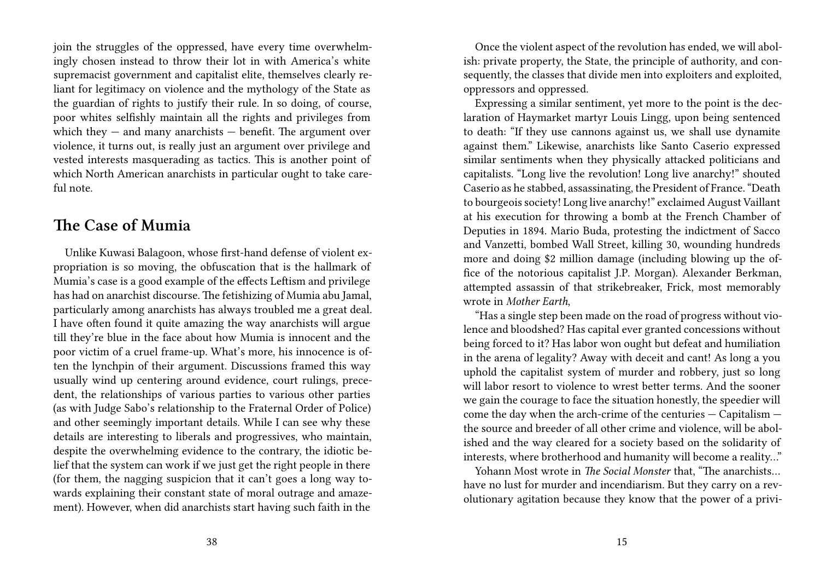join the struggles of the oppressed, have every time overwhelmingly chosen instead to throw their lot in with America's white supremacist government and capitalist elite, themselves clearly reliant for legitimacy on violence and the mythology of the State as the guardian of rights to justify their rule. In so doing, of course, poor whites selfishly maintain all the rights and privileges from which they  $-$  and many anarchists  $-$  benefit. The argument over violence, it turns out, is really just an argument over privilege and vested interests masquerading as tactics. This is another point of which North American anarchists in particular ought to take careful note.

#### **The Case of Mumia**

Unlike Kuwasi Balagoon, whose first-hand defense of violent expropriation is so moving, the obfuscation that is the hallmark of Mumia's case is a good example of the effects Leftism and privilege has had on anarchist discourse. The fetishizing of Mumia abu Jamal, particularly among anarchists has always troubled me a great deal. I have often found it quite amazing the way anarchists will argue till they're blue in the face about how Mumia is innocent and the poor victim of a cruel frame-up. What's more, his innocence is often the lynchpin of their argument. Discussions framed this way usually wind up centering around evidence, court rulings, precedent, the relationships of various parties to various other parties (as with Judge Sabo's relationship to the Fraternal Order of Police) and other seemingly important details. While I can see why these details are interesting to liberals and progressives, who maintain, despite the overwhelming evidence to the contrary, the idiotic belief that the system can work if we just get the right people in there (for them, the nagging suspicion that it can't goes a long way towards explaining their constant state of moral outrage and amazement). However, when did anarchists start having such faith in the

Once the violent aspect of the revolution has ended, we will abolish: private property, the State, the principle of authority, and consequently, the classes that divide men into exploiters and exploited, oppressors and oppressed.

Expressing a similar sentiment, yet more to the point is the declaration of Haymarket martyr Louis Lingg, upon being sentenced to death: "If they use cannons against us, we shall use dynamite against them." Likewise, anarchists like Santo Caserio expressed similar sentiments when they physically attacked politicians and capitalists. "Long live the revolution! Long live anarchy!" shouted Caserio as he stabbed, assassinating, the President of France. "Death to bourgeois society! Long live anarchy!" exclaimed August Vaillant at his execution for throwing a bomb at the French Chamber of Deputies in 1894. Mario Buda, protesting the indictment of Sacco and Vanzetti, bombed Wall Street, killing 30, wounding hundreds more and doing \$2 million damage (including blowing up the office of the notorious capitalist J.P. Morgan). Alexander Berkman, attempted assassin of that strikebreaker, Frick, most memorably wrote in *Mother Earth*,

"Has a single step been made on the road of progress without violence and bloodshed? Has capital ever granted concessions without being forced to it? Has labor won ought but defeat and humiliation in the arena of legality? Away with deceit and cant! As long a you uphold the capitalist system of murder and robbery, just so long will labor resort to violence to wrest better terms. And the sooner we gain the courage to face the situation honestly, the speedier will come the day when the arch-crime of the centuries — Capitalism the source and breeder of all other crime and violence, will be abolished and the way cleared for a society based on the solidarity of interests, where brotherhood and humanity will become a reality…"

Yohann Most wrote in *The Social Monster* that, "The anarchists… have no lust for murder and incendiarism. But they carry on a revolutionary agitation because they know that the power of a privi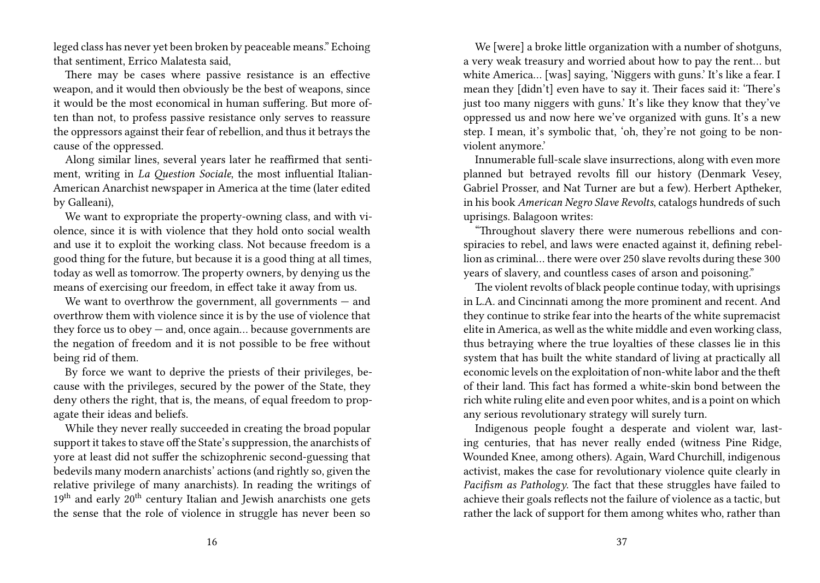leged class has never yet been broken by peaceable means." Echoing that sentiment, Errico Malatesta said,

There may be cases where passive resistance is an effective weapon, and it would then obviously be the best of weapons, since it would be the most economical in human suffering. But more often than not, to profess passive resistance only serves to reassure the oppressors against their fear of rebellion, and thus it betrays the cause of the oppressed.

Along similar lines, several years later he reaffirmed that sentiment, writing in *La Question Sociale*, the most influential Italian-American Anarchist newspaper in America at the time (later edited by Galleani),

We want to expropriate the property-owning class, and with violence, since it is with violence that they hold onto social wealth and use it to exploit the working class. Not because freedom is a good thing for the future, but because it is a good thing at all times, today as well as tomorrow. The property owners, by denying us the means of exercising our freedom, in effect take it away from us.

We want to overthrow the government, all governments – and overthrow them with violence since it is by the use of violence that they force us to obey — and, once again… because governments are the negation of freedom and it is not possible to be free without being rid of them.

By force we want to deprive the priests of their privileges, because with the privileges, secured by the power of the State, they deny others the right, that is, the means, of equal freedom to propagate their ideas and beliefs.

While they never really succeeded in creating the broad popular support it takes to stave off the State's suppression, the anarchists of yore at least did not suffer the schizophrenic second-guessing that bedevils many modern anarchists' actions (and rightly so, given the relative privilege of many anarchists). In reading the writings of  $19<sup>th</sup>$  and early  $20<sup>th</sup>$  century Italian and Jewish anarchists one gets the sense that the role of violence in struggle has never been so

We [were] a broke little organization with a number of shotguns, a very weak treasury and worried about how to pay the rent… but white America... [was] saying, 'Niggers with guns.' It's like a fear. I mean they [didn't] even have to say it. Their faces said it: 'There's just too many niggers with guns.' It's like they know that they've oppressed us and now here we've organized with guns. It's a new step. I mean, it's symbolic that, 'oh, they're not going to be nonviolent anymore.'

Innumerable full-scale slave insurrections, along with even more planned but betrayed revolts fill our history (Denmark Vesey, Gabriel Prosser, and Nat Turner are but a few). Herbert Aptheker, in his book *American Negro Slave Revolts*, catalogs hundreds of such uprisings. Balagoon writes:

"Throughout slavery there were numerous rebellions and conspiracies to rebel, and laws were enacted against it, defining rebellion as criminal… there were over 250 slave revolts during these 300 years of slavery, and countless cases of arson and poisoning."

The violent revolts of black people continue today, with uprisings in L.A. and Cincinnati among the more prominent and recent. And they continue to strike fear into the hearts of the white supremacist elite in America, as well as the white middle and even working class, thus betraying where the true loyalties of these classes lie in this system that has built the white standard of living at practically all economic levels on the exploitation of non-white labor and the theft of their land. This fact has formed a white-skin bond between the rich white ruling elite and even poor whites, and is a point on which any serious revolutionary strategy will surely turn.

Indigenous people fought a desperate and violent war, lasting centuries, that has never really ended (witness Pine Ridge, Wounded Knee, among others). Again, Ward Churchill, indigenous activist, makes the case for revolutionary violence quite clearly in *Pacifism as Pathology*. The fact that these struggles have failed to achieve their goals reflects not the failure of violence as a tactic, but rather the lack of support for them among whites who, rather than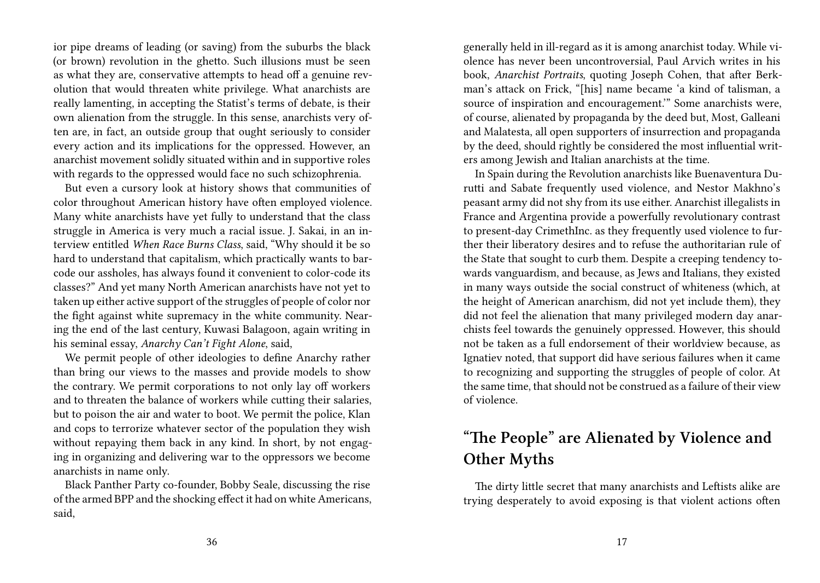ior pipe dreams of leading (or saving) from the suburbs the black (or brown) revolution in the ghetto. Such illusions must be seen as what they are, conservative attempts to head off a genuine revolution that would threaten white privilege. What anarchists are really lamenting, in accepting the Statist's terms of debate, is their own alienation from the struggle. In this sense, anarchists very often are, in fact, an outside group that ought seriously to consider every action and its implications for the oppressed. However, an anarchist movement solidly situated within and in supportive roles with regards to the oppressed would face no such schizophrenia.

But even a cursory look at history shows that communities of color throughout American history have often employed violence. Many white anarchists have yet fully to understand that the class struggle in America is very much a racial issue. J. Sakai, in an interview entitled *When Race Burns Class*, said, "Why should it be so hard to understand that capitalism, which practically wants to barcode our assholes, has always found it convenient to color-code its classes?" And yet many North American anarchists have not yet to taken up either active support of the struggles of people of color nor the fight against white supremacy in the white community. Nearing the end of the last century, Kuwasi Balagoon, again writing in his seminal essay, *Anarchy Can't Fight Alone*, said,

We permit people of other ideologies to define Anarchy rather than bring our views to the masses and provide models to show the contrary. We permit corporations to not only lay off workers and to threaten the balance of workers while cutting their salaries, but to poison the air and water to boot. We permit the police, Klan and cops to terrorize whatever sector of the population they wish without repaying them back in any kind. In short, by not engaging in organizing and delivering war to the oppressors we become anarchists in name only.

Black Panther Party co-founder, Bobby Seale, discussing the rise of the armed BPP and the shocking effect it had on white Americans, said,

generally held in ill-regard as it is among anarchist today. While violence has never been uncontroversial, Paul Arvich writes in his book, *Anarchist Portraits*, quoting Joseph Cohen, that after Berkman's attack on Frick, "[his] name became 'a kind of talisman, a source of inspiration and encouragement.'" Some anarchists were, of course, alienated by propaganda by the deed but, Most, Galleani and Malatesta, all open supporters of insurrection and propaganda by the deed, should rightly be considered the most influential writers among Jewish and Italian anarchists at the time.

In Spain during the Revolution anarchists like Buenaventura Durutti and Sabate frequently used violence, and Nestor Makhno's peasant army did not shy from its use either. Anarchist illegalists in France and Argentina provide a powerfully revolutionary contrast to present-day CrimethInc. as they frequently used violence to further their liberatory desires and to refuse the authoritarian rule of the State that sought to curb them. Despite a creeping tendency towards vanguardism, and because, as Jews and Italians, they existed in many ways outside the social construct of whiteness (which, at the height of American anarchism, did not yet include them), they did not feel the alienation that many privileged modern day anarchists feel towards the genuinely oppressed. However, this should not be taken as a full endorsement of their worldview because, as Ignatiev noted, that support did have serious failures when it came to recognizing and supporting the struggles of people of color. At the same time, that should not be construed as a failure of their view of violence.

## **"The People" are Alienated by Violence and Other Myths**

The dirty little secret that many anarchists and Leftists alike are trying desperately to avoid exposing is that violent actions often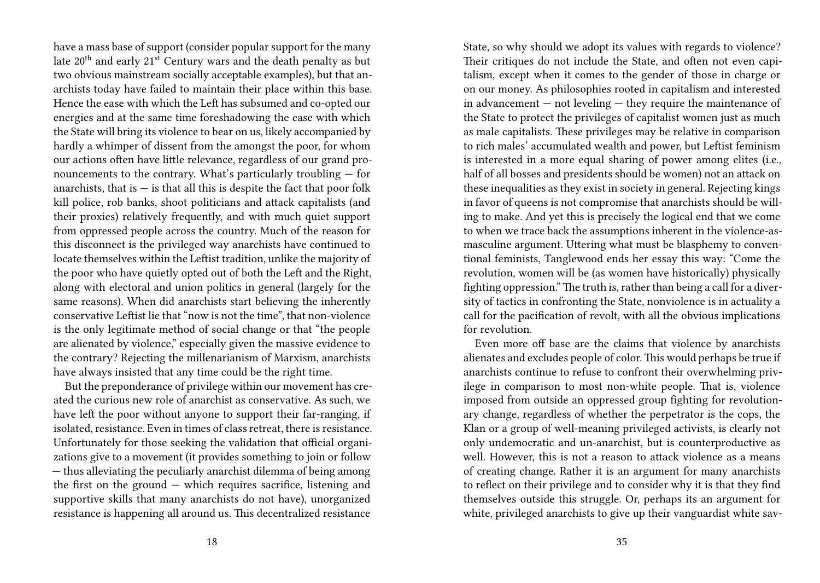have a mass base of support (consider popular support for the many late 20th and early 21st Century wars and the death penalty as but two obvious mainstream socially acceptable examples), but that anarchists today have failed to maintain their place within this base. Hence the ease with which the Left has subsumed and co-opted our energies and at the same time foreshadowing the ease with which the State will bring its violence to bear on us, likely accompanied by hardly a whimper of dissent from the amongst the poor, for whom our actions often have little relevance, regardless of our grand pronouncements to the contrary. What's particularly troubling — for anarchists, that is  $-$  is that all this is despite the fact that poor folk kill police, rob banks, shoot politicians and attack capitalists (and their proxies) relatively frequently, and with much quiet support from oppressed people across the country. Much of the reason for this disconnect is the privileged way anarchists have continued to locate themselves within the Leftist tradition, unlike the majority of the poor who have quietly opted out of both the Left and the Right, along with electoral and union politics in general (largely for the same reasons). When did anarchists start believing the inherently conservative Leftist lie that "now is not the time", that non-violence is the only legitimate method of social change or that "the people are alienated by violence," especially given the massive evidence to the contrary? Rejecting the millenarianism of Marxism, anarchists have always insisted that any time could be the right time.

But the preponderance of privilege within our movement has created the curious new role of anarchist as conservative. As such, we have left the poor without anyone to support their far-ranging, if isolated, resistance. Even in times of class retreat, there is resistance. Unfortunately for those seeking the validation that official organizations give to a movement (it provides something to join or follow — thus alleviating the peculiarly anarchist dilemma of being among the first on the ground — which requires sacrifice, listening and supportive skills that many anarchists do not have), unorganized resistance is happening all around us. This decentralized resistance

State, so why should we adopt its values with regards to violence? Their critiques do not include the State, and often not even capitalism, except when it comes to the gender of those in charge or on our money. As philosophies rooted in capitalism and interested in advancement — not leveling — they require the maintenance of the State to protect the privileges of capitalist women just as much as male capitalists. These privileges may be relative in comparison to rich males' accumulated wealth and power, but Leftist feminism is interested in a more equal sharing of power among elites (i.e., half of all bosses and presidents should be women) not an attack on these inequalities as they exist in society in general. Rejecting kings in favor of queens is not compromise that anarchists should be willing to make. And yet this is precisely the logical end that we come to when we trace back the assumptions inherent in the violence-asmasculine argument. Uttering what must be blasphemy to conventional feminists, Tanglewood ends her essay this way: "Come the revolution, women will be (as women have historically) physically fighting oppression." The truth is, rather than being a call for a diversity of tactics in confronting the State, nonviolence is in actuality a call for the pacification of revolt, with all the obvious implications for revolution.

Even more off base are the claims that violence by anarchists alienates and excludes people of color. This would perhaps be true if anarchists continue to refuse to confront their overwhelming privilege in comparison to most non-white people. That is, violence imposed from outside an oppressed group fighting for revolutionary change, regardless of whether the perpetrator is the cops, the Klan or a group of well-meaning privileged activists, is clearly not only undemocratic and un-anarchist, but is counterproductive as well. However, this is not a reason to attack violence as a means of creating change. Rather it is an argument for many anarchists to reflect on their privilege and to consider why it is that they find themselves outside this struggle. Or, perhaps its an argument for white, privileged anarchists to give up their vanguardist white sav-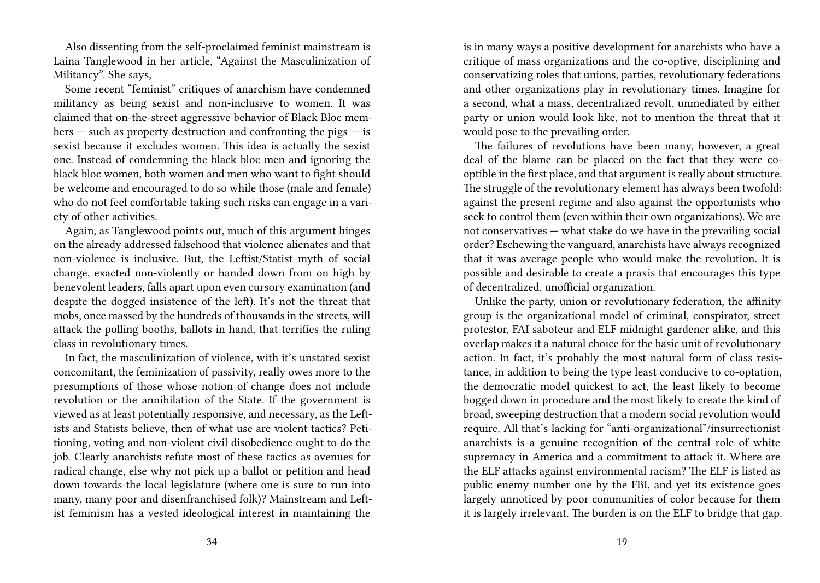Also dissenting from the self-proclaimed feminist mainstream is Laina Tanglewood in her article, "Against the Masculinization of Militancy". She says,

Some recent "feminist" critiques of anarchism have condemned militancy as being sexist and non-inclusive to women. It was claimed that on-the-street aggressive behavior of Black Bloc mem $bers - such as property destruction and confronting the pigs - is$ sexist because it excludes women. This idea is actually the sexist one. Instead of condemning the black bloc men and ignoring the black bloc women, both women and men who want to fight should be welcome and encouraged to do so while those (male and female) who do not feel comfortable taking such risks can engage in a variety of other activities.

Again, as Tanglewood points out, much of this argument hinges on the already addressed falsehood that violence alienates and that non-violence is inclusive. But, the Leftist/Statist myth of social change, exacted non-violently or handed down from on high by benevolent leaders, falls apart upon even cursory examination (and despite the dogged insistence of the left). It's not the threat that mobs, once massed by the hundreds of thousands in the streets, will attack the polling booths, ballots in hand, that terrifies the ruling class in revolutionary times.

In fact, the masculinization of violence, with it's unstated sexist concomitant, the feminization of passivity, really owes more to the presumptions of those whose notion of change does not include revolution or the annihilation of the State. If the government is viewed as at least potentially responsive, and necessary, as the Leftists and Statists believe, then of what use are violent tactics? Petitioning, voting and non-violent civil disobedience ought to do the job. Clearly anarchists refute most of these tactics as avenues for radical change, else why not pick up a ballot or petition and head down towards the local legislature (where one is sure to run into many, many poor and disenfranchised folk)? Mainstream and Leftist feminism has a vested ideological interest in maintaining the

is in many ways a positive development for anarchists who have a critique of mass organizations and the co-optive, disciplining and conservatizing roles that unions, parties, revolutionary federations and other organizations play in revolutionary times. Imagine for a second, what a mass, decentralized revolt, unmediated by either party or union would look like, not to mention the threat that it would pose to the prevailing order.

The failures of revolutions have been many, however, a great deal of the blame can be placed on the fact that they were cooptible in the first place, and that argument is really about structure. The struggle of the revolutionary element has always been twofold: against the present regime and also against the opportunists who seek to control them (even within their own organizations). We are not conservatives — what stake do we have in the prevailing social order? Eschewing the vanguard, anarchists have always recognized that it was average people who would make the revolution. It is possible and desirable to create a praxis that encourages this type of decentralized, unofficial organization.

Unlike the party, union or revolutionary federation, the affinity group is the organizational model of criminal, conspirator, street protestor, FAI saboteur and ELF midnight gardener alike, and this overlap makes it a natural choice for the basic unit of revolutionary action. In fact, it's probably the most natural form of class resistance, in addition to being the type least conducive to co-optation, the democratic model quickest to act, the least likely to become bogged down in procedure and the most likely to create the kind of broad, sweeping destruction that a modern social revolution would require. All that's lacking for "anti-organizational"/insurrectionist anarchists is a genuine recognition of the central role of white supremacy in America and a commitment to attack it. Where are the ELF attacks against environmental racism? The ELF is listed as public enemy number one by the FBI, and yet its existence goes largely unnoticed by poor communities of color because for them it is largely irrelevant. The burden is on the ELF to bridge that gap.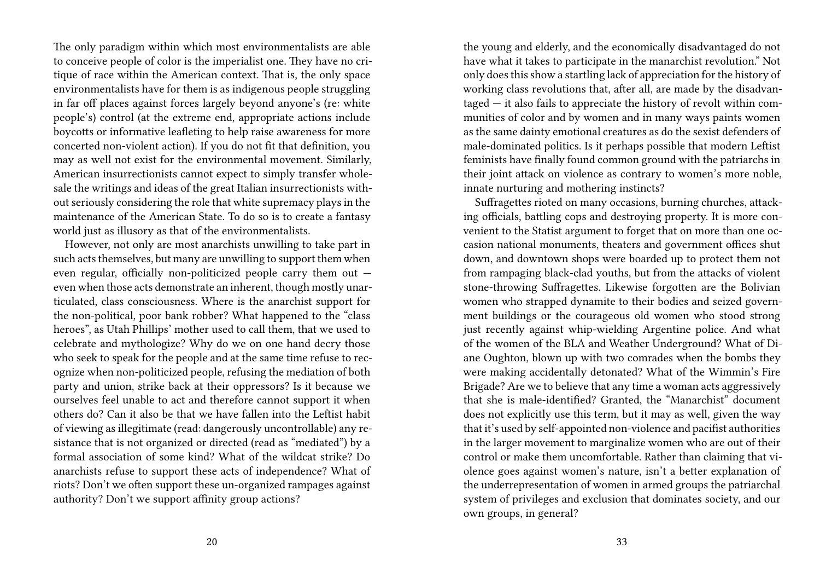The only paradigm within which most environmentalists are able to conceive people of color is the imperialist one. They have no critique of race within the American context. That is, the only space environmentalists have for them is as indigenous people struggling in far off places against forces largely beyond anyone's (re: white people's) control (at the extreme end, appropriate actions include boycotts or informative leafleting to help raise awareness for more concerted non-violent action). If you do not fit that definition, you may as well not exist for the environmental movement. Similarly, American insurrectionists cannot expect to simply transfer wholesale the writings and ideas of the great Italian insurrectionists without seriously considering the role that white supremacy plays in the maintenance of the American State. To do so is to create a fantasy world just as illusory as that of the environmentalists.

However, not only are most anarchists unwilling to take part in such acts themselves, but many are unwilling to support them when even regular, officially non-politicized people carry them out even when those acts demonstrate an inherent, though mostly unarticulated, class consciousness. Where is the anarchist support for the non-political, poor bank robber? What happened to the "class heroes", as Utah Phillips' mother used to call them, that we used to celebrate and mythologize? Why do we on one hand decry those who seek to speak for the people and at the same time refuse to recognize when non-politicized people, refusing the mediation of both party and union, strike back at their oppressors? Is it because we ourselves feel unable to act and therefore cannot support it when others do? Can it also be that we have fallen into the Leftist habit of viewing as illegitimate (read: dangerously uncontrollable) any resistance that is not organized or directed (read as "mediated") by a formal association of some kind? What of the wildcat strike? Do anarchists refuse to support these acts of independence? What of riots? Don't we often support these un-organized rampages against authority? Don't we support affinity group actions?

the young and elderly, and the economically disadvantaged do not have what it takes to participate in the manarchist revolution." Not only does this show a startling lack of appreciation for the history of working class revolutions that, after all, are made by the disadvantaged — it also fails to appreciate the history of revolt within communities of color and by women and in many ways paints women as the same dainty emotional creatures as do the sexist defenders of male-dominated politics. Is it perhaps possible that modern Leftist feminists have finally found common ground with the patriarchs in their joint attack on violence as contrary to women's more noble, innate nurturing and mothering instincts?

Suffragettes rioted on many occasions, burning churches, attacking officials, battling cops and destroying property. It is more convenient to the Statist argument to forget that on more than one occasion national monuments, theaters and government offices shut down, and downtown shops were boarded up to protect them not from rampaging black-clad youths, but from the attacks of violent stone-throwing Suffragettes. Likewise forgotten are the Bolivian women who strapped dynamite to their bodies and seized government buildings or the courageous old women who stood strong just recently against whip-wielding Argentine police. And what of the women of the BLA and Weather Underground? What of Diane Oughton, blown up with two comrades when the bombs they were making accidentally detonated? What of the Wimmin's Fire Brigade? Are we to believe that any time a woman acts aggressively that she is male-identified? Granted, the "Manarchist" document does not explicitly use this term, but it may as well, given the way that it's used by self-appointed non-violence and pacifist authorities in the larger movement to marginalize women who are out of their control or make them uncomfortable. Rather than claiming that violence goes against women's nature, isn't a better explanation of the underrepresentation of women in armed groups the patriarchal system of privileges and exclusion that dominates society, and our own groups, in general?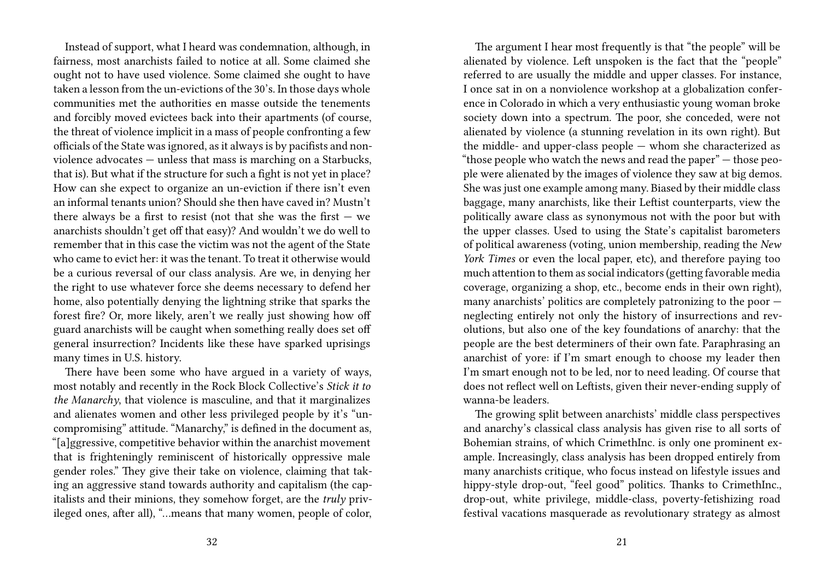Instead of support, what I heard was condemnation, although, in fairness, most anarchists failed to notice at all. Some claimed she ought not to have used violence. Some claimed she ought to have taken a lesson from the un-evictions of the 30's. In those days whole communities met the authorities en masse outside the tenements and forcibly moved evictees back into their apartments (of course, the threat of violence implicit in a mass of people confronting a few officials of the State was ignored, as it always is by pacifists and nonviolence advocates — unless that mass is marching on a Starbucks, that is). But what if the structure for such a fight is not yet in place? How can she expect to organize an un-eviction if there isn't even an informal tenants union? Should she then have caved in? Mustn't there always be a first to resist (not that she was the first  $-$  we anarchists shouldn't get off that easy)? And wouldn't we do well to remember that in this case the victim was not the agent of the State who came to evict her: it was the tenant. To treat it otherwise would be a curious reversal of our class analysis. Are we, in denying her the right to use whatever force she deems necessary to defend her home, also potentially denying the lightning strike that sparks the forest fire? Or, more likely, aren't we really just showing how off guard anarchists will be caught when something really does set off general insurrection? Incidents like these have sparked uprisings many times in U.S. history.

There have been some who have argued in a variety of ways, most notably and recently in the Rock Block Collective's *Stick it to the Manarchy*, that violence is masculine, and that it marginalizes and alienates women and other less privileged people by it's "uncompromising" attitude. "Manarchy," is defined in the document as, "[a]ggressive, competitive behavior within the anarchist movement that is frighteningly reminiscent of historically oppressive male gender roles." They give their take on violence, claiming that taking an aggressive stand towards authority and capitalism (the capitalists and their minions, they somehow forget, are the *truly* privileged ones, after all), "…means that many women, people of color,

The argument I hear most frequently is that "the people" will be alienated by violence. Left unspoken is the fact that the "people" referred to are usually the middle and upper classes. For instance, I once sat in on a nonviolence workshop at a globalization conference in Colorado in which a very enthusiastic young woman broke society down into a spectrum. The poor, she conceded, were not alienated by violence (a stunning revelation in its own right). But the middle- and upper-class people — whom she characterized as "those people who watch the news and read the paper" — those people were alienated by the images of violence they saw at big demos. She was just one example among many. Biased by their middle class baggage, many anarchists, like their Leftist counterparts, view the politically aware class as synonymous not with the poor but with the upper classes. Used to using the State's capitalist barometers of political awareness (voting, union membership, reading the *New York Times* or even the local paper, etc), and therefore paying too much attention to them as social indicators (getting favorable media coverage, organizing a shop, etc., become ends in their own right), many anarchists' politics are completely patronizing to the poor neglecting entirely not only the history of insurrections and revolutions, but also one of the key foundations of anarchy: that the people are the best determiners of their own fate. Paraphrasing an anarchist of yore: if I'm smart enough to choose my leader then I'm smart enough not to be led, nor to need leading. Of course that does not reflect well on Leftists, given their never-ending supply of wanna-be leaders.

The growing split between anarchists' middle class perspectives and anarchy's classical class analysis has given rise to all sorts of Bohemian strains, of which CrimethInc. is only one prominent example. Increasingly, class analysis has been dropped entirely from many anarchists critique, who focus instead on lifestyle issues and hippy-style drop-out, "feel good" politics. Thanks to CrimethInc., drop-out, white privilege, middle-class, poverty-fetishizing road festival vacations masquerade as revolutionary strategy as almost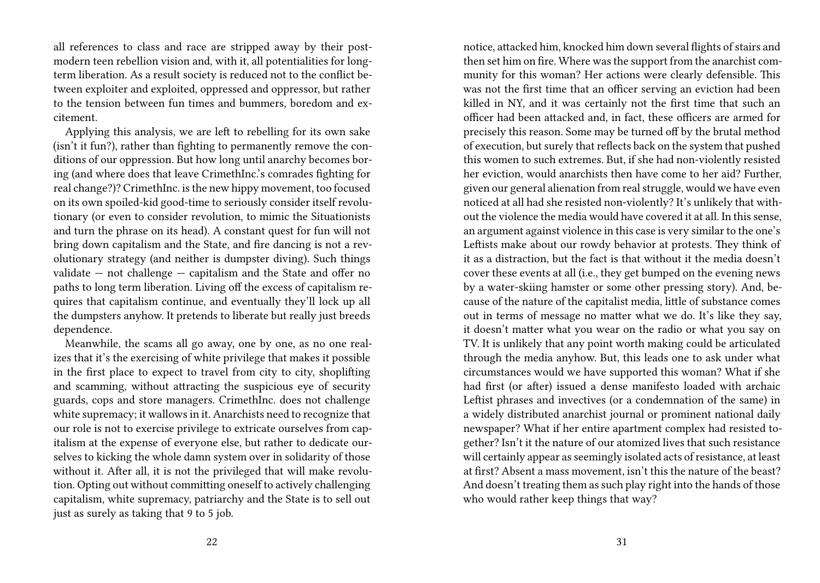all references to class and race are stripped away by their postmodern teen rebellion vision and, with it, all potentialities for longterm liberation. As a result society is reduced not to the conflict between exploiter and exploited, oppressed and oppressor, but rather to the tension between fun times and bummers, boredom and excitement.

Applying this analysis, we are left to rebelling for its own sake (isn't it fun?), rather than fighting to permanently remove the conditions of our oppression. But how long until anarchy becomes boring (and where does that leave CrimethInc.'s comrades fighting for real change?)? CrimethInc. is the new hippy movement, too focused on its own spoiled-kid good-time to seriously consider itself revolutionary (or even to consider revolution, to mimic the Situationists and turn the phrase on its head). A constant quest for fun will not bring down capitalism and the State, and fire dancing is not a revolutionary strategy (and neither is dumpster diving). Such things validate — not challenge — capitalism and the State and offer no paths to long term liberation. Living off the excess of capitalism requires that capitalism continue, and eventually they'll lock up all the dumpsters anyhow. It pretends to liberate but really just breeds dependence.

Meanwhile, the scams all go away, one by one, as no one realizes that it's the exercising of white privilege that makes it possible in the first place to expect to travel from city to city, shoplifting and scamming, without attracting the suspicious eye of security guards, cops and store managers. CrimethInc. does not challenge white supremacy; it wallows in it. Anarchists need to recognize that our role is not to exercise privilege to extricate ourselves from capitalism at the expense of everyone else, but rather to dedicate ourselves to kicking the whole damn system over in solidarity of those without it. After all, it is not the privileged that will make revolution. Opting out without committing oneself to actively challenging capitalism, white supremacy, patriarchy and the State is to sell out just as surely as taking that 9 to 5 job.

notice, attacked him, knocked him down several flights of stairs and then set him on fire. Where was the support from the anarchist community for this woman? Her actions were clearly defensible. This was not the first time that an officer serving an eviction had been killed in NY, and it was certainly not the first time that such an officer had been attacked and, in fact, these officers are armed for precisely this reason. Some may be turned off by the brutal method of execution, but surely that reflects back on the system that pushed this women to such extremes. But, if she had non-violently resisted her eviction, would anarchists then have come to her aid? Further, given our general alienation from real struggle, would we have even noticed at all had she resisted non-violently? It's unlikely that without the violence the media would have covered it at all. In this sense, an argument against violence in this case is very similar to the one's Leftists make about our rowdy behavior at protests. They think of it as a distraction, but the fact is that without it the media doesn't cover these events at all (i.e., they get bumped on the evening news by a water-skiing hamster or some other pressing story). And, because of the nature of the capitalist media, little of substance comes out in terms of message no matter what we do. It's like they say, it doesn't matter what you wear on the radio or what you say on TV. It is unlikely that any point worth making could be articulated through the media anyhow. But, this leads one to ask under what circumstances would we have supported this woman? What if she had first (or after) issued a dense manifesto loaded with archaic Leftist phrases and invectives (or a condemnation of the same) in a widely distributed anarchist journal or prominent national daily newspaper? What if her entire apartment complex had resisted together? Isn't it the nature of our atomized lives that such resistance will certainly appear as seemingly isolated acts of resistance, at least at first? Absent a mass movement, isn't this the nature of the beast? And doesn't treating them as such play right into the hands of those who would rather keep things that way?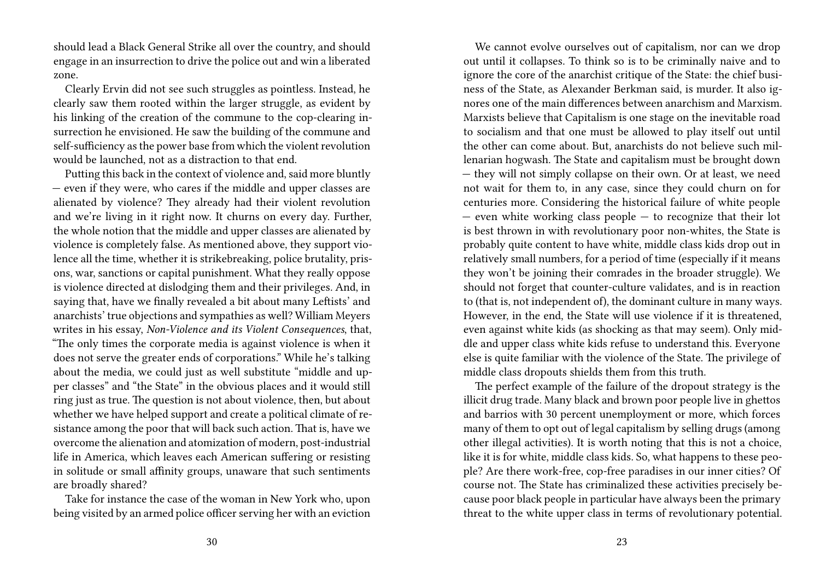should lead a Black General Strike all over the country, and should engage in an insurrection to drive the police out and win a liberated zone.

Clearly Ervin did not see such struggles as pointless. Instead, he clearly saw them rooted within the larger struggle, as evident by his linking of the creation of the commune to the cop-clearing insurrection he envisioned. He saw the building of the commune and self-sufficiency as the power base from which the violent revolution would be launched, not as a distraction to that end.

Putting this back in the context of violence and, said more bluntly — even if they were, who cares if the middle and upper classes are alienated by violence? They already had their violent revolution and we're living in it right now. It churns on every day. Further, the whole notion that the middle and upper classes are alienated by violence is completely false. As mentioned above, they support violence all the time, whether it is strikebreaking, police brutality, prisons, war, sanctions or capital punishment. What they really oppose is violence directed at dislodging them and their privileges. And, in saying that, have we finally revealed a bit about many Leftists' and anarchists' true objections and sympathies as well? William Meyers writes in his essay, *Non-Violence and its Violent Consequences*, that, "The only times the corporate media is against violence is when it does not serve the greater ends of corporations." While he's talking about the media, we could just as well substitute "middle and upper classes" and "the State" in the obvious places and it would still ring just as true. The question is not about violence, then, but about whether we have helped support and create a political climate of resistance among the poor that will back such action. That is, have we overcome the alienation and atomization of modern, post-industrial life in America, which leaves each American suffering or resisting in solitude or small affinity groups, unaware that such sentiments are broadly shared?

Take for instance the case of the woman in New York who, upon being visited by an armed police officer serving her with an eviction

We cannot evolve ourselves out of capitalism, nor can we drop out until it collapses. To think so is to be criminally naive and to ignore the core of the anarchist critique of the State: the chief business of the State, as Alexander Berkman said, is murder. It also ignores one of the main differences between anarchism and Marxism. Marxists believe that Capitalism is one stage on the inevitable road to socialism and that one must be allowed to play itself out until the other can come about. But, anarchists do not believe such millenarian hogwash. The State and capitalism must be brought down — they will not simply collapse on their own. Or at least, we need not wait for them to, in any case, since they could churn on for centuries more. Considering the historical failure of white people — even white working class people — to recognize that their lot is best thrown in with revolutionary poor non-whites, the State is probably quite content to have white, middle class kids drop out in relatively small numbers, for a period of time (especially if it means they won't be joining their comrades in the broader struggle). We should not forget that counter-culture validates, and is in reaction to (that is, not independent of), the dominant culture in many ways. However, in the end, the State will use violence if it is threatened, even against white kids (as shocking as that may seem). Only middle and upper class white kids refuse to understand this. Everyone else is quite familiar with the violence of the State. The privilege of middle class dropouts shields them from this truth.

The perfect example of the failure of the dropout strategy is the illicit drug trade. Many black and brown poor people live in ghettos and barrios with 30 percent unemployment or more, which forces many of them to opt out of legal capitalism by selling drugs (among other illegal activities). It is worth noting that this is not a choice, like it is for white, middle class kids. So, what happens to these people? Are there work-free, cop-free paradises in our inner cities? Of course not. The State has criminalized these activities precisely because poor black people in particular have always been the primary threat to the white upper class in terms of revolutionary potential.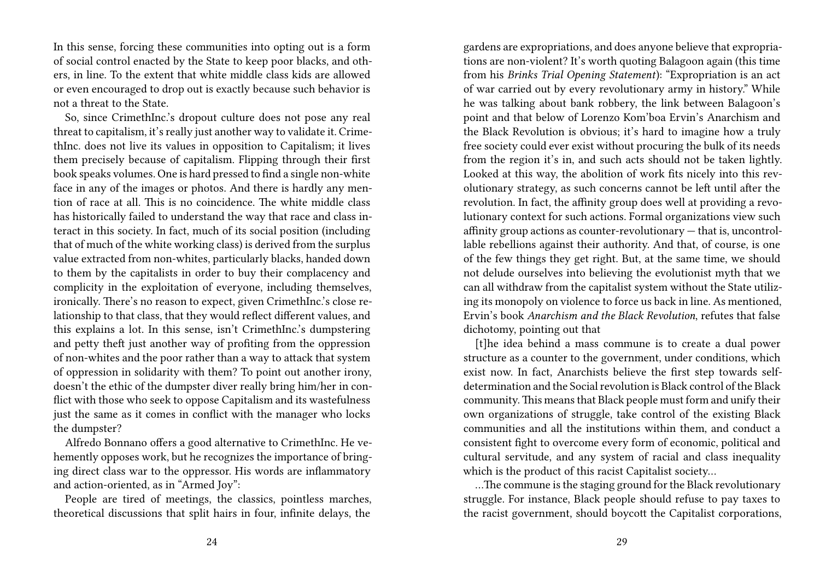In this sense, forcing these communities into opting out is a form of social control enacted by the State to keep poor blacks, and others, in line. To the extent that white middle class kids are allowed or even encouraged to drop out is exactly because such behavior is not a threat to the State.

So, since CrimethInc.'s dropout culture does not pose any real threat to capitalism, it's really just another way to validate it. CrimethInc. does not live its values in opposition to Capitalism; it lives them precisely because of capitalism. Flipping through their first book speaks volumes. One is hard pressed to find a single non-white face in any of the images or photos. And there is hardly any mention of race at all. This is no coincidence. The white middle class has historically failed to understand the way that race and class interact in this society. In fact, much of its social position (including that of much of the white working class) is derived from the surplus value extracted from non-whites, particularly blacks, handed down to them by the capitalists in order to buy their complacency and complicity in the exploitation of everyone, including themselves, ironically. There's no reason to expect, given CrimethInc.'s close relationship to that class, that they would reflect different values, and this explains a lot. In this sense, isn't CrimethInc.'s dumpstering and petty theft just another way of profiting from the oppression of non-whites and the poor rather than a way to attack that system of oppression in solidarity with them? To point out another irony, doesn't the ethic of the dumpster diver really bring him/her in conflict with those who seek to oppose Capitalism and its wastefulness just the same as it comes in conflict with the manager who locks the dumpster?

Alfredo Bonnano offers a good alternative to CrimethInc. He vehemently opposes work, but he recognizes the importance of bringing direct class war to the oppressor. His words are inflammatory and action-oriented, as in "Armed Joy":

People are tired of meetings, the classics, pointless marches, theoretical discussions that split hairs in four, infinite delays, the

gardens are expropriations, and does anyone believe that expropriations are non-violent? It's worth quoting Balagoon again (this time from his *Brinks Trial Opening Statement*): "Expropriation is an act of war carried out by every revolutionary army in history." While he was talking about bank robbery, the link between Balagoon's point and that below of Lorenzo Kom'boa Ervin's Anarchism and the Black Revolution is obvious; it's hard to imagine how a truly free society could ever exist without procuring the bulk of its needs from the region it's in, and such acts should not be taken lightly. Looked at this way, the abolition of work fits nicely into this revolutionary strategy, as such concerns cannot be left until after the revolution. In fact, the affinity group does well at providing a revolutionary context for such actions. Formal organizations view such affinity group actions as counter-revolutionary — that is, uncontrollable rebellions against their authority. And that, of course, is one of the few things they get right. But, at the same time, we should not delude ourselves into believing the evolutionist myth that we can all withdraw from the capitalist system without the State utilizing its monopoly on violence to force us back in line. As mentioned, Ervin's book *Anarchism and the Black Revolution*, refutes that false dichotomy, pointing out that

[t]he idea behind a mass commune is to create a dual power structure as a counter to the government, under conditions, which exist now. In fact, Anarchists believe the first step towards selfdetermination and the Social revolution is Black control of the Black community.This means that Black people must form and unify their own organizations of struggle, take control of the existing Black communities and all the institutions within them, and conduct a consistent fight to overcome every form of economic, political and cultural servitude, and any system of racial and class inequality which is the product of this racist Capitalist society…

…The commune is the staging ground for the Black revolutionary struggle. For instance, Black people should refuse to pay taxes to the racist government, should boycott the Capitalist corporations,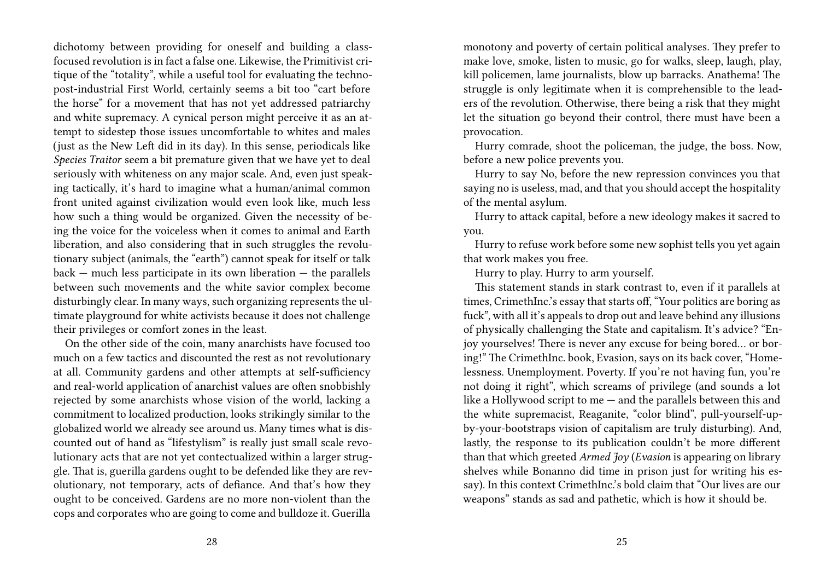dichotomy between providing for oneself and building a classfocused revolution is in fact a false one. Likewise, the Primitivist critique of the "totality", while a useful tool for evaluating the technopost-industrial First World, certainly seems a bit too "cart before the horse" for a movement that has not yet addressed patriarchy and white supremacy. A cynical person might perceive it as an attempt to sidestep those issues uncomfortable to whites and males (just as the New Left did in its day). In this sense, periodicals like *Species Traitor* seem a bit premature given that we have yet to deal seriously with whiteness on any major scale. And, even just speaking tactically, it's hard to imagine what a human/animal common front united against civilization would even look like, much less how such a thing would be organized. Given the necessity of being the voice for the voiceless when it comes to animal and Earth liberation, and also considering that in such struggles the revolutionary subject (animals, the "earth") cannot speak for itself or talk  $back -$  much less participate in its own liberation  $-$  the parallels between such movements and the white savior complex become disturbingly clear. In many ways, such organizing represents the ultimate playground for white activists because it does not challenge their privileges or comfort zones in the least.

On the other side of the coin, many anarchists have focused too much on a few tactics and discounted the rest as not revolutionary at all. Community gardens and other attempts at self-sufficiency and real-world application of anarchist values are often snobbishly rejected by some anarchists whose vision of the world, lacking a commitment to localized production, looks strikingly similar to the globalized world we already see around us. Many times what is discounted out of hand as "lifestylism" is really just small scale revolutionary acts that are not yet contectualized within a larger struggle. That is, guerilla gardens ought to be defended like they are revolutionary, not temporary, acts of defiance. And that's how they ought to be conceived. Gardens are no more non-violent than the cops and corporates who are going to come and bulldoze it. Guerilla

monotony and poverty of certain political analyses. They prefer to make love, smoke, listen to music, go for walks, sleep, laugh, play, kill policemen, lame journalists, blow up barracks. Anathema! The struggle is only legitimate when it is comprehensible to the leaders of the revolution. Otherwise, there being a risk that they might let the situation go beyond their control, there must have been a provocation.

Hurry comrade, shoot the policeman, the judge, the boss. Now, before a new police prevents you.

Hurry to say No, before the new repression convinces you that saying no is useless, mad, and that you should accept the hospitality of the mental asylum.

Hurry to attack capital, before a new ideology makes it sacred to you.

Hurry to refuse work before some new sophist tells you yet again that work makes you free.

Hurry to play. Hurry to arm yourself.

This statement stands in stark contrast to, even if it parallels at times, CrimethInc.'s essay that starts off, "Your politics are boring as fuck", with all it's appeals to drop out and leave behind any illusions of physically challenging the State and capitalism. It's advice? "Enjoy yourselves! There is never any excuse for being bored… or boring!" The CrimethInc. book, Evasion, says on its back cover, "Homelessness. Unemployment. Poverty. If you're not having fun, you're not doing it right", which screams of privilege (and sounds a lot like a Hollywood script to me — and the parallels between this and the white supremacist, Reaganite, "color blind", pull-yourself-upby-your-bootstraps vision of capitalism are truly disturbing). And, lastly, the response to its publication couldn't be more different than that which greeted *Armed Joy* (*Evasion* is appearing on library shelves while Bonanno did time in prison just for writing his essay). In this context CrimethInc.'s bold claim that "Our lives are our weapons" stands as sad and pathetic, which is how it should be.